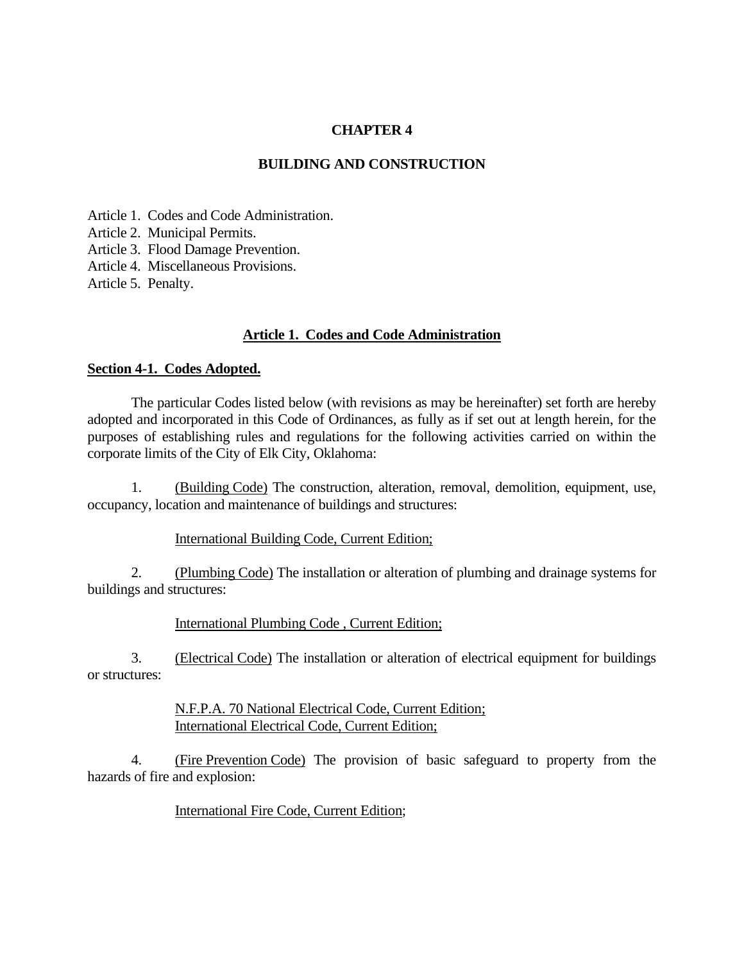### **CHAPTER 4**

#### **BUILDING AND CONSTRUCTION**

Article 1. Codes and Code Administration. Article 2. Municipal Permits. Article 3. Flood Damage Prevention. Article 4. Miscellaneous Provisions. Article 5. Penalty.

#### **Article 1. Codes and Code Administration**

#### **Section 4-1. Codes Adopted.**

The particular Codes listed below (with revisions as may be hereinafter) set forth are hereby adopted and incorporated in this Code of Ordinances, as fully as if set out at length herein, for the purposes of establishing rules and regulations for the following activities carried on within the corporate limits of the City of Elk City, Oklahoma:

1. (Building Code) The construction, alteration, removal, demolition, equipment, use, occupancy, location and maintenance of buildings and structures:

#### International Building Code, Current Edition;

2. (Plumbing Code) The installation or alteration of plumbing and drainage systems for buildings and structures:

International Plumbing Code , Current Edition;

3. (Electrical Code) The installation or alteration of electrical equipment for buildings or structures:

> N.F.P.A. 70 National Electrical Code, Current Edition; International Electrical Code, Current Edition;

4. (Fire Prevention Code) The provision of basic safeguard to property from the hazards of fire and explosion:

International Fire Code, Current Edition;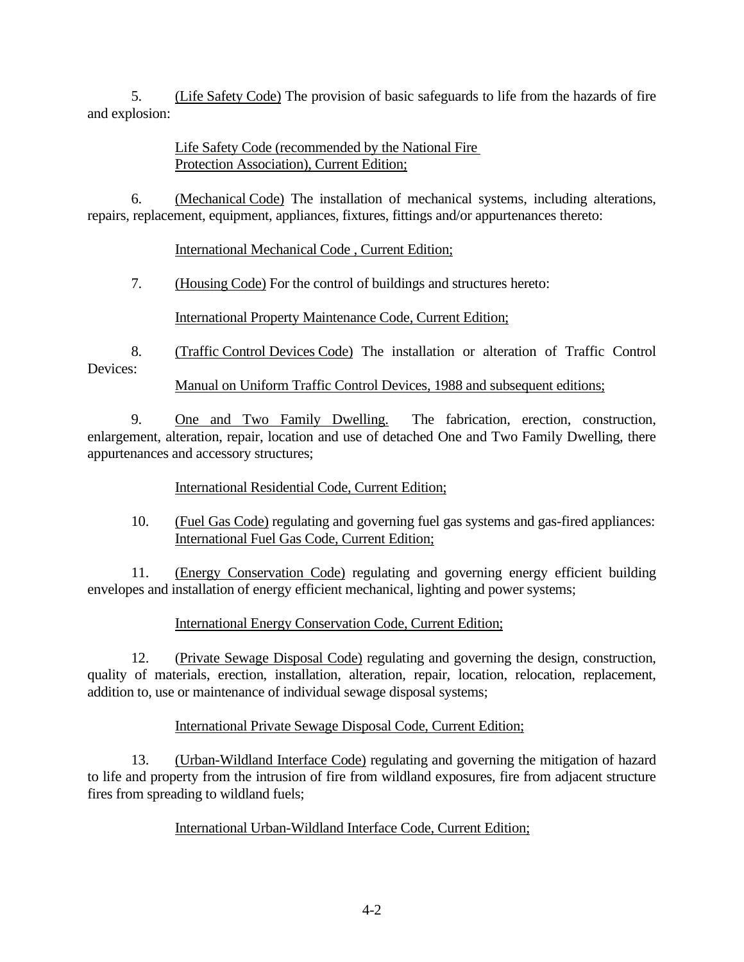5. (Life Safety Code) The provision of basic safeguards to life from the hazards of fire and explosion:

## Life Safety Code (recommended by the National Fire Protection Association), Current Edition;

6. (Mechanical Code) The installation of mechanical systems, including alterations, repairs, replacement, equipment, appliances, fixtures, fittings and/or appurtenances thereto:

International Mechanical Code , Current Edition;

7. (Housing Code) For the control of buildings and structures hereto:

International Property Maintenance Code, Current Edition;

8. (Traffic Control Devices Code) The installation or alteration of Traffic Control Devices:

Manual on Uniform Traffic Control Devices, 1988 and subsequent editions;

9. One and Two Family Dwelling. The fabrication, erection, construction, enlargement, alteration, repair, location and use of detached One and Two Family Dwelling, there appurtenances and accessory structures;

International Residential Code, Current Edition;

10. (Fuel Gas Code) regulating and governing fuel gas systems and gas-fired appliances: International Fuel Gas Code, Current Edition;

11. (Energy Conservation Code) regulating and governing energy efficient building envelopes and installation of energy efficient mechanical, lighting and power systems;

# International Energy Conservation Code, Current Edition;

12. (Private Sewage Disposal Code) regulating and governing the design, construction, quality of materials, erection, installation, alteration, repair, location, relocation, replacement, addition to, use or maintenance of individual sewage disposal systems;

# International Private Sewage Disposal Code, Current Edition;

13. (Urban-Wildland Interface Code) regulating and governing the mitigation of hazard to life and property from the intrusion of fire from wildland exposures, fire from adjacent structure fires from spreading to wildland fuels;

# International Urban-Wildland Interface Code, Current Edition;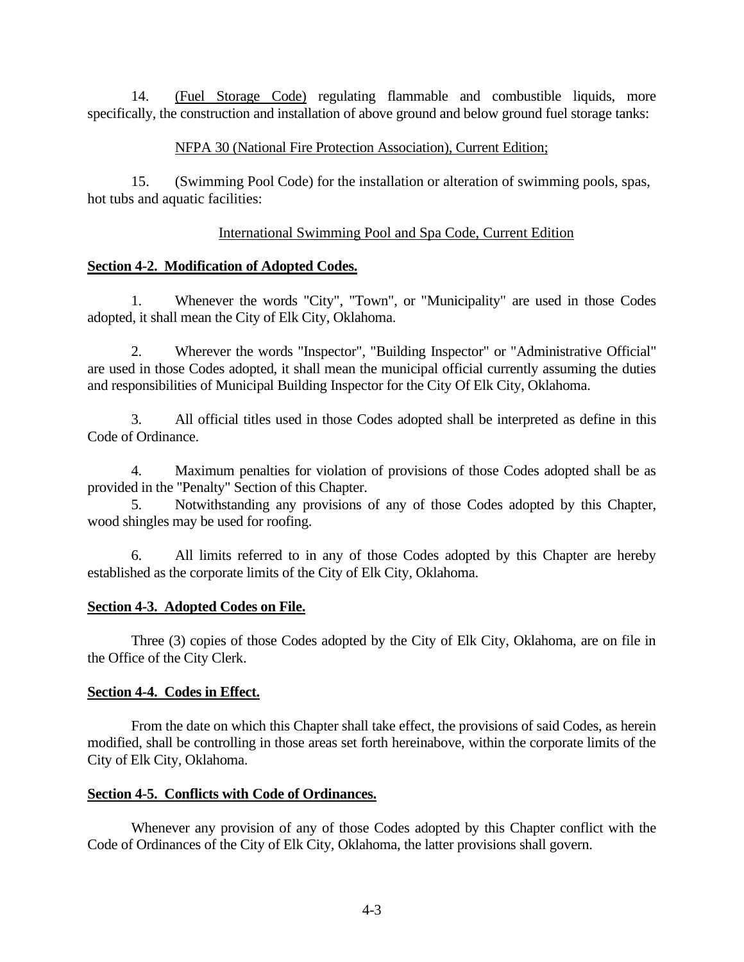14. (Fuel Storage Code) regulating flammable and combustible liquids, more specifically, the construction and installation of above ground and below ground fuel storage tanks:

### NFPA 30 (National Fire Protection Association), Current Edition;

15. (Swimming Pool Code) for the installation or alteration of swimming pools, spas, hot tubs and aquatic facilities:

### International Swimming Pool and Spa Code, Current Edition

### **Section 4-2. Modification of Adopted Codes.**

1. Whenever the words "City", "Town", or "Municipality" are used in those Codes adopted, it shall mean the City of Elk City, Oklahoma.

2. Wherever the words "Inspector", "Building Inspector" or "Administrative Official" are used in those Codes adopted, it shall mean the municipal official currently assuming the duties and responsibilities of Municipal Building Inspector for the City Of Elk City, Oklahoma.

3. All official titles used in those Codes adopted shall be interpreted as define in this Code of Ordinance.

4. Maximum penalties for violation of provisions of those Codes adopted shall be as provided in the "Penalty" Section of this Chapter.

5. Notwithstanding any provisions of any of those Codes adopted by this Chapter, wood shingles may be used for roofing.

6. All limits referred to in any of those Codes adopted by this Chapter are hereby established as the corporate limits of the City of Elk City, Oklahoma.

#### **Section 4-3. Adopted Codes on File.**

Three (3) copies of those Codes adopted by the City of Elk City, Oklahoma, are on file in the Office of the City Clerk.

#### **Section 4-4. Codes in Effect.**

From the date on which this Chapter shall take effect, the provisions of said Codes, as herein modified, shall be controlling in those areas set forth hereinabove, within the corporate limits of the City of Elk City, Oklahoma.

#### **Section 4-5. Conflicts with Code of Ordinances.**

Whenever any provision of any of those Codes adopted by this Chapter conflict with the Code of Ordinances of the City of Elk City, Oklahoma, the latter provisions shall govern.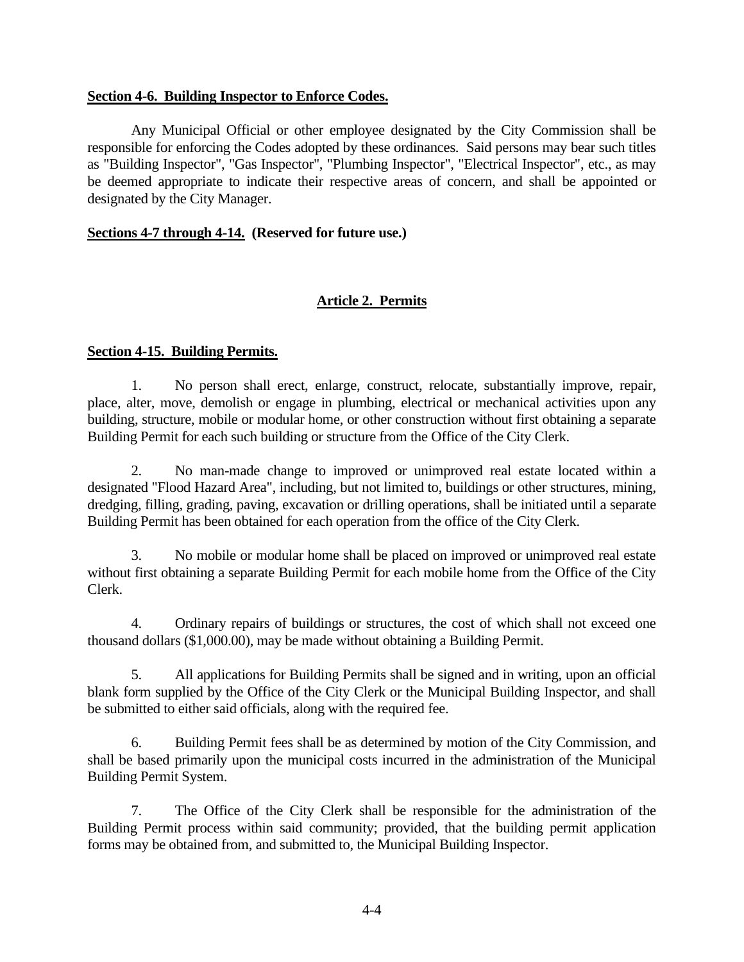#### **Section 4-6. Building Inspector to Enforce Codes.**

Any Municipal Official or other employee designated by the City Commission shall be responsible for enforcing the Codes adopted by these ordinances. Said persons may bear such titles as "Building Inspector", "Gas Inspector", "Plumbing Inspector", "Electrical Inspector", etc., as may be deemed appropriate to indicate their respective areas of concern, and shall be appointed or designated by the City Manager.

#### **Sections 4-7 through 4-14. (Reserved for future use.)**

### **Article 2. Permits**

#### **Section 4-15. Building Permits.**

1. No person shall erect, enlarge, construct, relocate, substantially improve, repair, place, alter, move, demolish or engage in plumbing, electrical or mechanical activities upon any building, structure, mobile or modular home, or other construction without first obtaining a separate Building Permit for each such building or structure from the Office of the City Clerk.

2. No man-made change to improved or unimproved real estate located within a designated "Flood Hazard Area", including, but not limited to, buildings or other structures, mining, dredging, filling, grading, paving, excavation or drilling operations, shall be initiated until a separate Building Permit has been obtained for each operation from the office of the City Clerk.

3. No mobile or modular home shall be placed on improved or unimproved real estate without first obtaining a separate Building Permit for each mobile home from the Office of the City Clerk.

4. Ordinary repairs of buildings or structures, the cost of which shall not exceed one thousand dollars (\$1,000.00), may be made without obtaining a Building Permit.

5. All applications for Building Permits shall be signed and in writing, upon an official blank form supplied by the Office of the City Clerk or the Municipal Building Inspector, and shall be submitted to either said officials, along with the required fee.

6. Building Permit fees shall be as determined by motion of the City Commission, and shall be based primarily upon the municipal costs incurred in the administration of the Municipal Building Permit System.

7. The Office of the City Clerk shall be responsible for the administration of the Building Permit process within said community; provided, that the building permit application forms may be obtained from, and submitted to, the Municipal Building Inspector.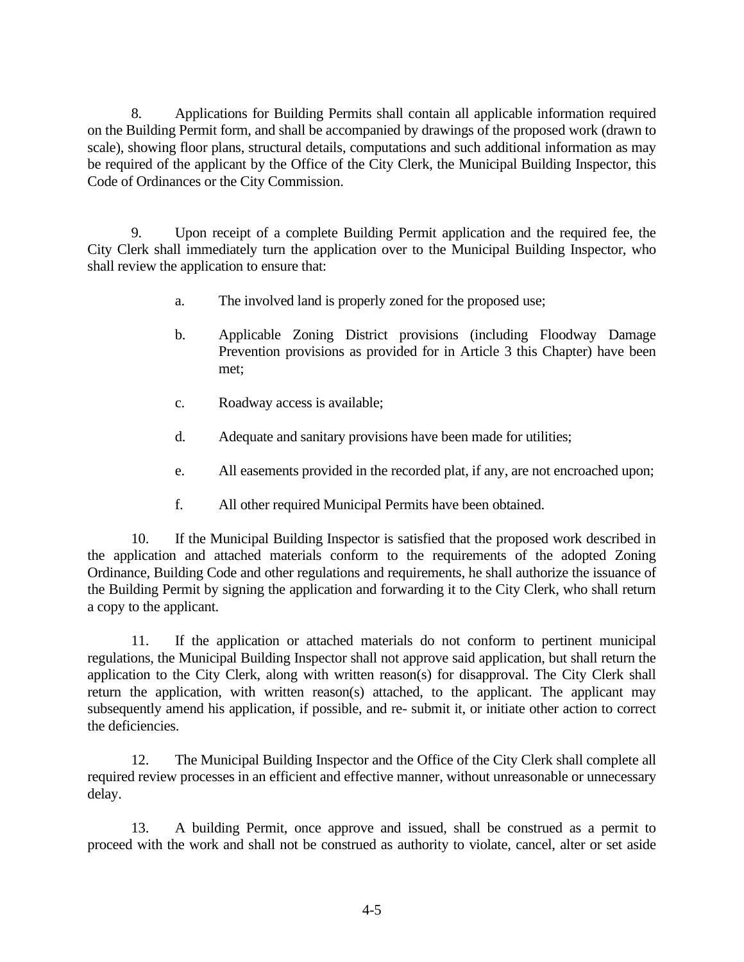8. Applications for Building Permits shall contain all applicable information required on the Building Permit form, and shall be accompanied by drawings of the proposed work (drawn to scale), showing floor plans, structural details, computations and such additional information as may be required of the applicant by the Office of the City Clerk, the Municipal Building Inspector, this Code of Ordinances or the City Commission.

9. Upon receipt of a complete Building Permit application and the required fee, the City Clerk shall immediately turn the application over to the Municipal Building Inspector, who shall review the application to ensure that:

- a. The involved land is properly zoned for the proposed use;
- b. Applicable Zoning District provisions (including Floodway Damage Prevention provisions as provided for in Article 3 this Chapter) have been met;
- c. Roadway access is available;
- d. Adequate and sanitary provisions have been made for utilities;
- e. All easements provided in the recorded plat, if any, are not encroached upon;
- f. All other required Municipal Permits have been obtained.

10. If the Municipal Building Inspector is satisfied that the proposed work described in the application and attached materials conform to the requirements of the adopted Zoning Ordinance, Building Code and other regulations and requirements, he shall authorize the issuance of the Building Permit by signing the application and forwarding it to the City Clerk, who shall return a copy to the applicant.

11. If the application or attached materials do not conform to pertinent municipal regulations, the Municipal Building Inspector shall not approve said application, but shall return the application to the City Clerk, along with written reason(s) for disapproval. The City Clerk shall return the application, with written reason(s) attached, to the applicant. The applicant may subsequently amend his application, if possible, and re- submit it, or initiate other action to correct the deficiencies.

12. The Municipal Building Inspector and the Office of the City Clerk shall complete all required review processes in an efficient and effective manner, without unreasonable or unnecessary delay.

13. A building Permit, once approve and issued, shall be construed as a permit to proceed with the work and shall not be construed as authority to violate, cancel, alter or set aside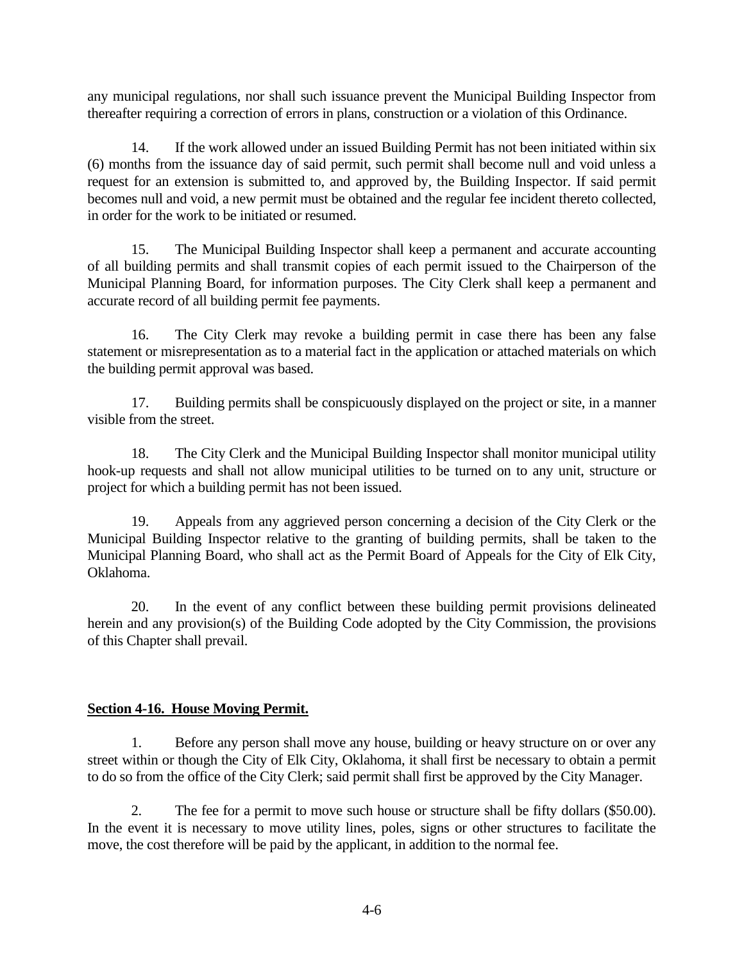any municipal regulations, nor shall such issuance prevent the Municipal Building Inspector from thereafter requiring a correction of errors in plans, construction or a violation of this Ordinance.

14. If the work allowed under an issued Building Permit has not been initiated within six (6) months from the issuance day of said permit, such permit shall become null and void unless a request for an extension is submitted to, and approved by, the Building Inspector. If said permit becomes null and void, a new permit must be obtained and the regular fee incident thereto collected, in order for the work to be initiated or resumed.

15. The Municipal Building Inspector shall keep a permanent and accurate accounting of all building permits and shall transmit copies of each permit issued to the Chairperson of the Municipal Planning Board, for information purposes. The City Clerk shall keep a permanent and accurate record of all building permit fee payments.

16. The City Clerk may revoke a building permit in case there has been any false statement or misrepresentation as to a material fact in the application or attached materials on which the building permit approval was based.

17. Building permits shall be conspicuously displayed on the project or site, in a manner visible from the street.

18. The City Clerk and the Municipal Building Inspector shall monitor municipal utility hook-up requests and shall not allow municipal utilities to be turned on to any unit, structure or project for which a building permit has not been issued.

19. Appeals from any aggrieved person concerning a decision of the City Clerk or the Municipal Building Inspector relative to the granting of building permits, shall be taken to the Municipal Planning Board, who shall act as the Permit Board of Appeals for the City of Elk City, Oklahoma.

20. In the event of any conflict between these building permit provisions delineated herein and any provision(s) of the Building Code adopted by the City Commission, the provisions of this Chapter shall prevail.

### **Section 4-16. House Moving Permit.**

1. Before any person shall move any house, building or heavy structure on or over any street within or though the City of Elk City, Oklahoma, it shall first be necessary to obtain a permit to do so from the office of the City Clerk; said permit shall first be approved by the City Manager.

2. The fee for a permit to move such house or structure shall be fifty dollars (\$50.00). In the event it is necessary to move utility lines, poles, signs or other structures to facilitate the move, the cost therefore will be paid by the applicant, in addition to the normal fee.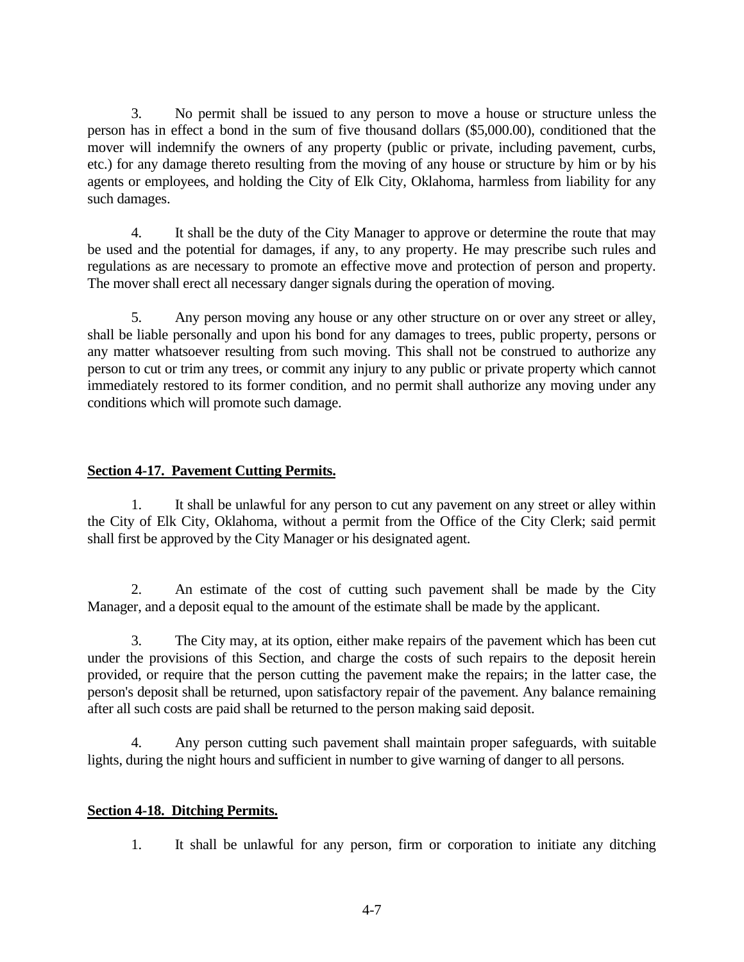3. No permit shall be issued to any person to move a house or structure unless the person has in effect a bond in the sum of five thousand dollars (\$5,000.00), conditioned that the mover will indemnify the owners of any property (public or private, including pavement, curbs, etc.) for any damage thereto resulting from the moving of any house or structure by him or by his agents or employees, and holding the City of Elk City, Oklahoma, harmless from liability for any such damages.

4. It shall be the duty of the City Manager to approve or determine the route that may be used and the potential for damages, if any, to any property. He may prescribe such rules and regulations as are necessary to promote an effective move and protection of person and property. The mover shall erect all necessary danger signals during the operation of moving.

5. Any person moving any house or any other structure on or over any street or alley, shall be liable personally and upon his bond for any damages to trees, public property, persons or any matter whatsoever resulting from such moving. This shall not be construed to authorize any person to cut or trim any trees, or commit any injury to any public or private property which cannot immediately restored to its former condition, and no permit shall authorize any moving under any conditions which will promote such damage.

## **Section 4-17. Pavement Cutting Permits.**

1. It shall be unlawful for any person to cut any pavement on any street or alley within the City of Elk City, Oklahoma, without a permit from the Office of the City Clerk; said permit shall first be approved by the City Manager or his designated agent.

2. An estimate of the cost of cutting such pavement shall be made by the City Manager, and a deposit equal to the amount of the estimate shall be made by the applicant.

3. The City may, at its option, either make repairs of the pavement which has been cut under the provisions of this Section, and charge the costs of such repairs to the deposit herein provided, or require that the person cutting the pavement make the repairs; in the latter case, the person's deposit shall be returned, upon satisfactory repair of the pavement. Any balance remaining after all such costs are paid shall be returned to the person making said deposit.

4. Any person cutting such pavement shall maintain proper safeguards, with suitable lights, during the night hours and sufficient in number to give warning of danger to all persons.

### **Section 4-18. Ditching Permits.**

1. It shall be unlawful for any person, firm or corporation to initiate any ditching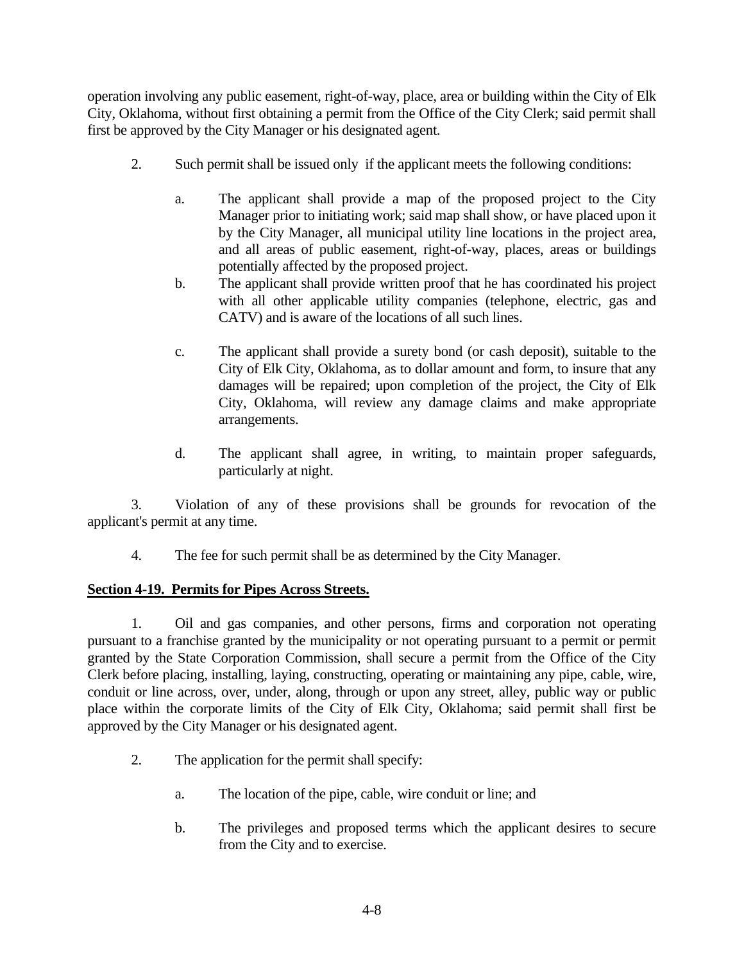operation involving any public easement, right-of-way, place, area or building within the City of Elk City, Oklahoma, without first obtaining a permit from the Office of the City Clerk; said permit shall first be approved by the City Manager or his designated agent.

- 2. Such permit shall be issued only if the applicant meets the following conditions:
	- a. The applicant shall provide a map of the proposed project to the City Manager prior to initiating work; said map shall show, or have placed upon it by the City Manager, all municipal utility line locations in the project area, and all areas of public easement, right-of-way, places, areas or buildings potentially affected by the proposed project.
	- b. The applicant shall provide written proof that he has coordinated his project with all other applicable utility companies (telephone, electric, gas and CATV) and is aware of the locations of all such lines.
	- c. The applicant shall provide a surety bond (or cash deposit), suitable to the City of Elk City, Oklahoma, as to dollar amount and form, to insure that any damages will be repaired; upon completion of the project, the City of Elk City, Oklahoma, will review any damage claims and make appropriate arrangements.
	- d. The applicant shall agree, in writing, to maintain proper safeguards, particularly at night.

3. Violation of any of these provisions shall be grounds for revocation of the applicant's permit at any time.

4. The fee for such permit shall be as determined by the City Manager.

### **Section 4-19. Permits for Pipes Across Streets.**

1. Oil and gas companies, and other persons, firms and corporation not operating pursuant to a franchise granted by the municipality or not operating pursuant to a permit or permit granted by the State Corporation Commission, shall secure a permit from the Office of the City Clerk before placing, installing, laying, constructing, operating or maintaining any pipe, cable, wire, conduit or line across, over, under, along, through or upon any street, alley, public way or public place within the corporate limits of the City of Elk City, Oklahoma; said permit shall first be approved by the City Manager or his designated agent.

- 2. The application for the permit shall specify:
	- a. The location of the pipe, cable, wire conduit or line; and
	- b. The privileges and proposed terms which the applicant desires to secure from the City and to exercise.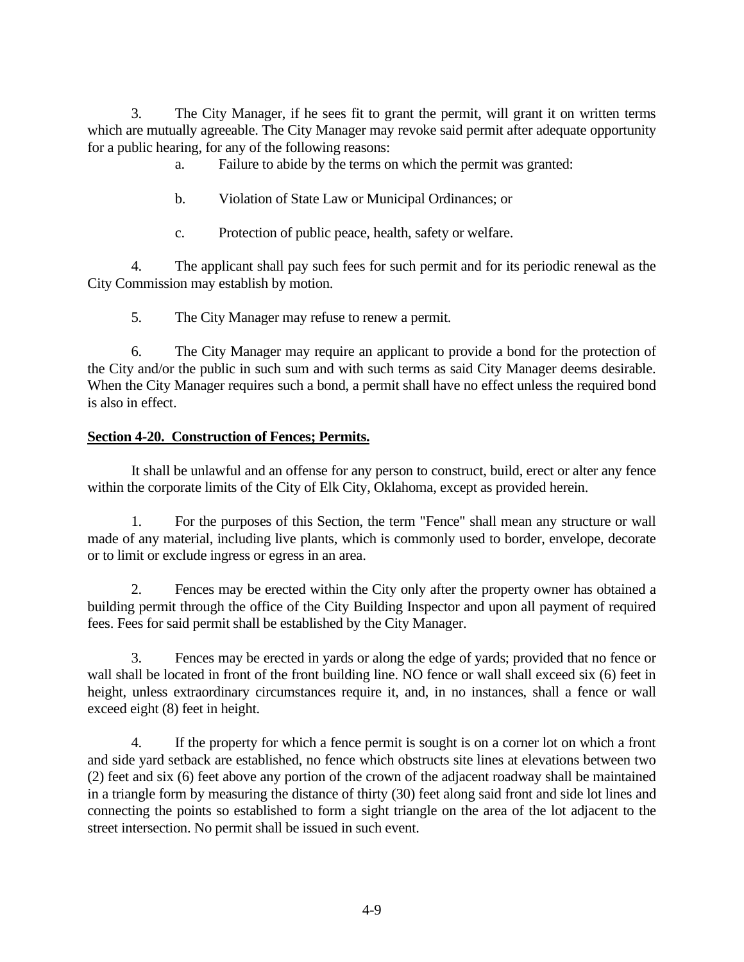3. The City Manager, if he sees fit to grant the permit, will grant it on written terms which are mutually agreeable. The City Manager may revoke said permit after adequate opportunity for a public hearing, for any of the following reasons:

a. Failure to abide by the terms on which the permit was granted:

- b. Violation of State Law or Municipal Ordinances; or
- c. Protection of public peace, health, safety or welfare.

4. The applicant shall pay such fees for such permit and for its periodic renewal as the City Commission may establish by motion.

5. The City Manager may refuse to renew a permit.

6. The City Manager may require an applicant to provide a bond for the protection of the City and/or the public in such sum and with such terms as said City Manager deems desirable. When the City Manager requires such a bond, a permit shall have no effect unless the required bond is also in effect.

## **Section 4-20. Construction of Fences; Permits.**

It shall be unlawful and an offense for any person to construct, build, erect or alter any fence within the corporate limits of the City of Elk City, Oklahoma, except as provided herein.

1. For the purposes of this Section, the term "Fence" shall mean any structure or wall made of any material, including live plants, which is commonly used to border, envelope, decorate or to limit or exclude ingress or egress in an area.

2. Fences may be erected within the City only after the property owner has obtained a building permit through the office of the City Building Inspector and upon all payment of required fees. Fees for said permit shall be established by the City Manager.

3. Fences may be erected in yards or along the edge of yards; provided that no fence or wall shall be located in front of the front building line. NO fence or wall shall exceed six (6) feet in height, unless extraordinary circumstances require it, and, in no instances, shall a fence or wall exceed eight (8) feet in height.

4. If the property for which a fence permit is sought is on a corner lot on which a front and side yard setback are established, no fence which obstructs site lines at elevations between two (2) feet and six (6) feet above any portion of the crown of the adjacent roadway shall be maintained in a triangle form by measuring the distance of thirty (30) feet along said front and side lot lines and connecting the points so established to form a sight triangle on the area of the lot adjacent to the street intersection. No permit shall be issued in such event.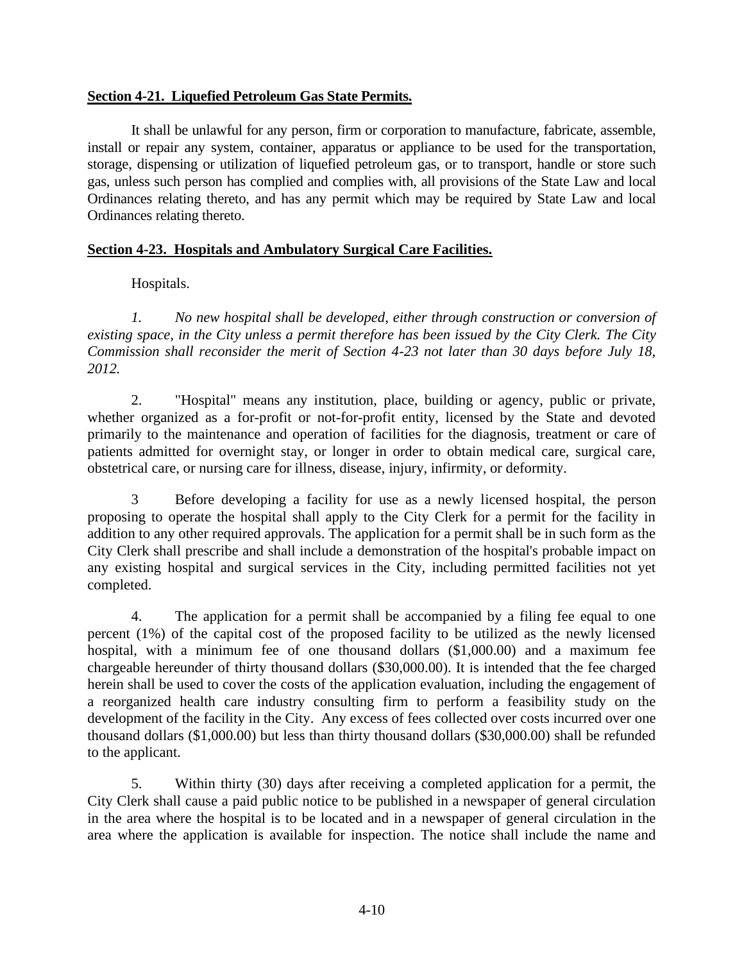### **Section 4-21. Liquefied Petroleum Gas State Permits.**

It shall be unlawful for any person, firm or corporation to manufacture, fabricate, assemble, install or repair any system, container, apparatus or appliance to be used for the transportation, storage, dispensing or utilization of liquefied petroleum gas, or to transport, handle or store such gas, unless such person has complied and complies with, all provisions of the State Law and local Ordinances relating thereto, and has any permit which may be required by State Law and local Ordinances relating thereto.

### **Section 4-23. Hospitals and Ambulatory Surgical Care Facilities.**

Hospitals.

*1. No new hospital shall be developed, either through construction or conversion of existing space, in the City unless a permit therefore has been issued by the City Clerk. The City Commission shall reconsider the merit of Section 4-23 not later than 30 days before July 18, 2012.*

2. "Hospital" means any institution, place, building or agency, public or private, whether organized as a for-profit or not-for-profit entity, licensed by the State and devoted primarily to the maintenance and operation of facilities for the diagnosis, treatment or care of patients admitted for overnight stay, or longer in order to obtain medical care, surgical care, obstetrical care, or nursing care for illness, disease, injury, infirmity, or deformity.

3 Before developing a facility for use as a newly licensed hospital, the person proposing to operate the hospital shall apply to the City Clerk for a permit for the facility in addition to any other required approvals. The application for a permit shall be in such form as the City Clerk shall prescribe and shall include a demonstration of the hospital's probable impact on any existing hospital and surgical services in the City, including permitted facilities not yet completed.

4. The application for a permit shall be accompanied by a filing fee equal to one percent (1%) of the capital cost of the proposed facility to be utilized as the newly licensed hospital, with a minimum fee of one thousand dollars (\$1,000.00) and a maximum fee chargeable hereunder of thirty thousand dollars (\$30,000.00). It is intended that the fee charged herein shall be used to cover the costs of the application evaluation, including the engagement of a reorganized health care industry consulting firm to perform a feasibility study on the development of the facility in the City. Any excess of fees collected over costs incurred over one thousand dollars (\$1,000.00) but less than thirty thousand dollars (\$30,000.00) shall be refunded to the applicant.

5. Within thirty (30) days after receiving a completed application for a permit, the City Clerk shall cause a paid public notice to be published in a newspaper of general circulation in the area where the hospital is to be located and in a newspaper of general circulation in the area where the application is available for inspection. The notice shall include the name and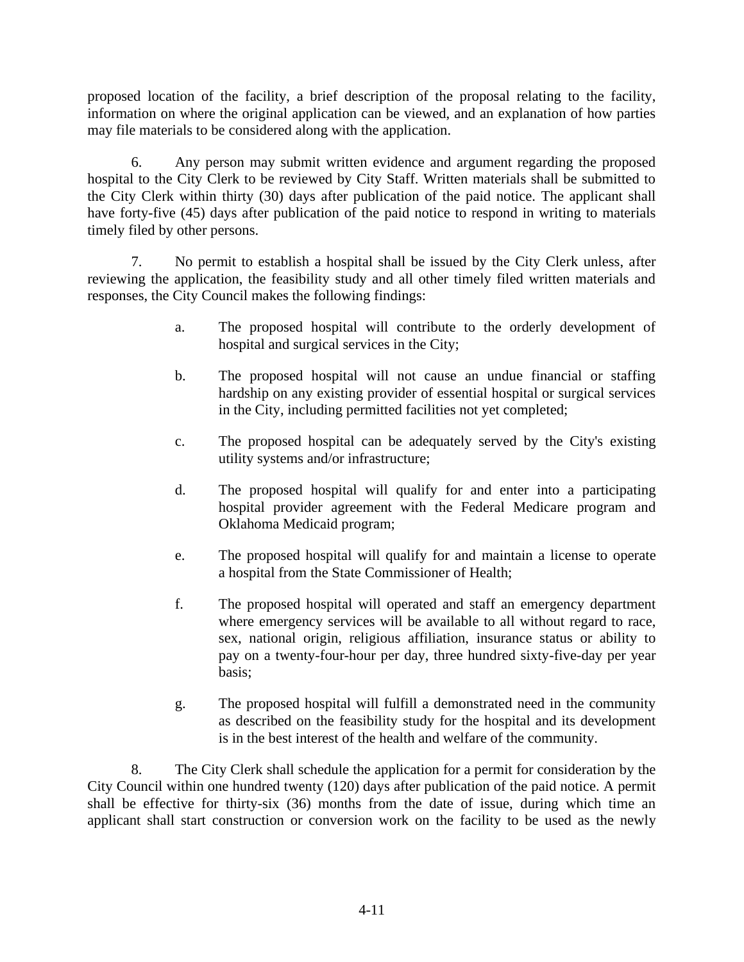proposed location of the facility, a brief description of the proposal relating to the facility, information on where the original application can be viewed, and an explanation of how parties may file materials to be considered along with the application.

6. Any person may submit written evidence and argument regarding the proposed hospital to the City Clerk to be reviewed by City Staff. Written materials shall be submitted to the City Clerk within thirty (30) days after publication of the paid notice. The applicant shall have forty-five (45) days after publication of the paid notice to respond in writing to materials timely filed by other persons.

7. No permit to establish a hospital shall be issued by the City Clerk unless, after reviewing the application, the feasibility study and all other timely filed written materials and responses, the City Council makes the following findings:

- a. The proposed hospital will contribute to the orderly development of hospital and surgical services in the City;
- b. The proposed hospital will not cause an undue financial or staffing hardship on any existing provider of essential hospital or surgical services in the City, including permitted facilities not yet completed;
- c. The proposed hospital can be adequately served by the City's existing utility systems and/or infrastructure;
- d. The proposed hospital will qualify for and enter into a participating hospital provider agreement with the Federal Medicare program and Oklahoma Medicaid program;
- e. The proposed hospital will qualify for and maintain a license to operate a hospital from the State Commissioner of Health;
- f. The proposed hospital will operated and staff an emergency department where emergency services will be available to all without regard to race, sex, national origin, religious affiliation, insurance status or ability to pay on a twenty-four-hour per day, three hundred sixty-five-day per year basis;
- g. The proposed hospital will fulfill a demonstrated need in the community as described on the feasibility study for the hospital and its development is in the best interest of the health and welfare of the community.

8. The City Clerk shall schedule the application for a permit for consideration by the City Council within one hundred twenty (120) days after publication of the paid notice. A permit shall be effective for thirty-six (36) months from the date of issue, during which time an applicant shall start construction or conversion work on the facility to be used as the newly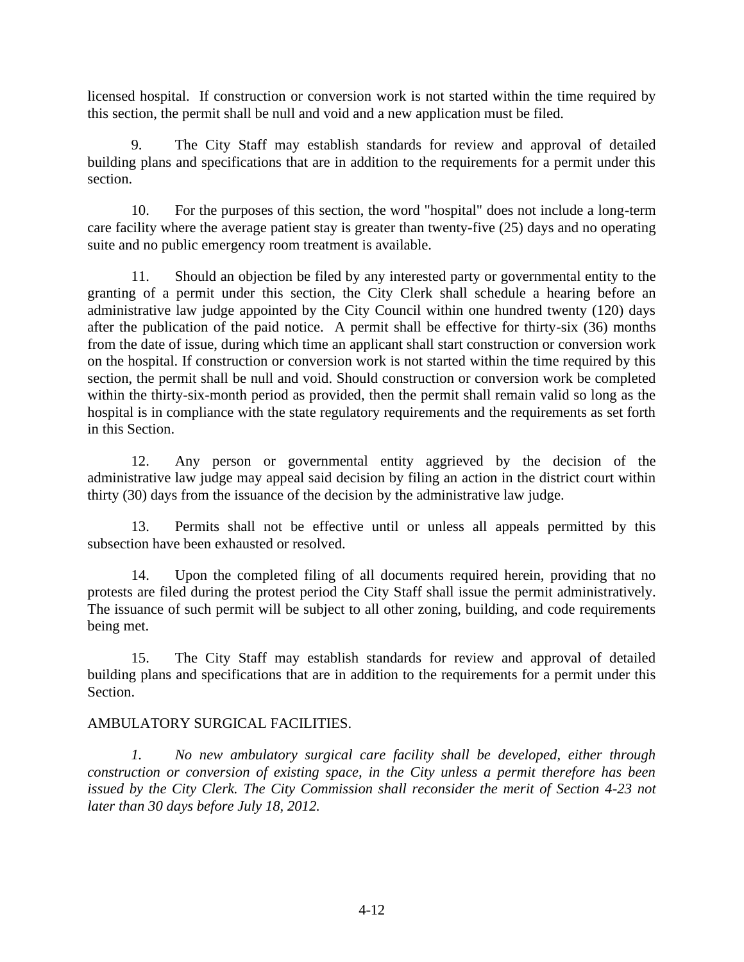licensed hospital. If construction or conversion work is not started within the time required by this section, the permit shall be null and void and a new application must be filed.

9. The City Staff may establish standards for review and approval of detailed building plans and specifications that are in addition to the requirements for a permit under this section.

10. For the purposes of this section, the word "hospital" does not include a long-term care facility where the average patient stay is greater than twenty-five (25) days and no operating suite and no public emergency room treatment is available.

11. Should an objection be filed by any interested party or governmental entity to the granting of a permit under this section, the City Clerk shall schedule a hearing before an administrative law judge appointed by the City Council within one hundred twenty (120) days after the publication of the paid notice. A permit shall be effective for thirty-six (36) months from the date of issue, during which time an applicant shall start construction or conversion work on the hospital. If construction or conversion work is not started within the time required by this section, the permit shall be null and void. Should construction or conversion work be completed within the thirty-six-month period as provided, then the permit shall remain valid so long as the hospital is in compliance with the state regulatory requirements and the requirements as set forth in this Section.

12. Any person or governmental entity aggrieved by the decision of the administrative law judge may appeal said decision by filing an action in the district court within thirty (30) days from the issuance of the decision by the administrative law judge.

13. Permits shall not be effective until or unless all appeals permitted by this subsection have been exhausted or resolved.

14. Upon the completed filing of all documents required herein, providing that no protests are filed during the protest period the City Staff shall issue the permit administratively. The issuance of such permit will be subject to all other zoning, building, and code requirements being met.

15. The City Staff may establish standards for review and approval of detailed building plans and specifications that are in addition to the requirements for a permit under this Section.

#### AMBULATORY SURGICAL FACILITIES.

*1. No new ambulatory surgical care facility shall be developed, either through construction or conversion of existing space, in the City unless a permit therefore has been issued by the City Clerk. The City Commission shall reconsider the merit of Section 4-23 not later than 30 days before July 18, 2012.*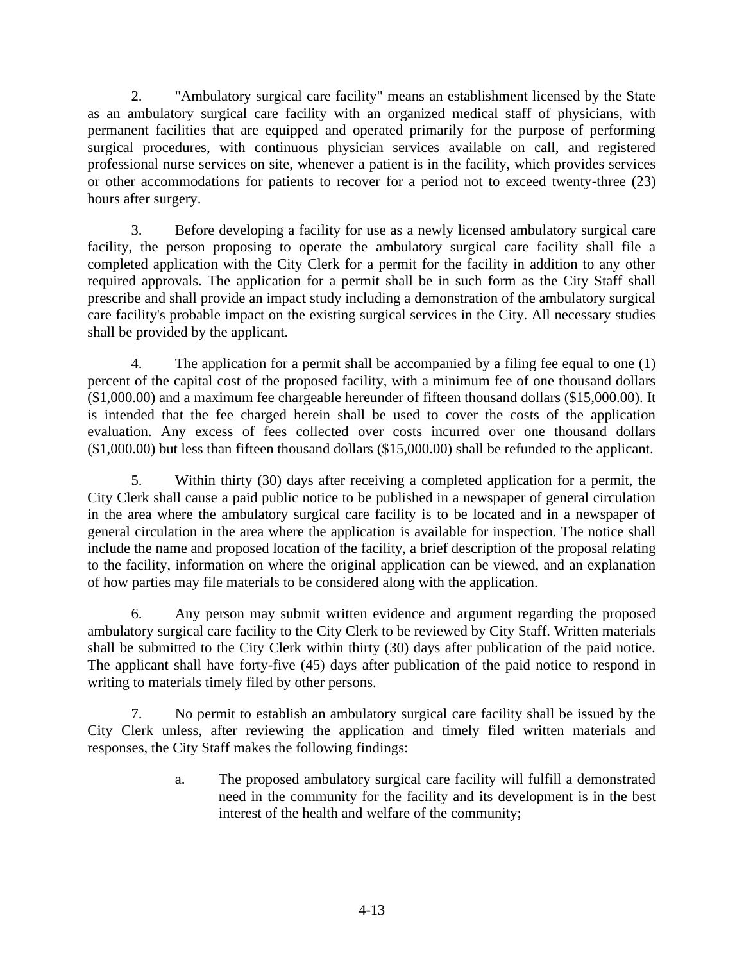2. "Ambulatory surgical care facility" means an establishment licensed by the State as an ambulatory surgical care facility with an organized medical staff of physicians, with permanent facilities that are equipped and operated primarily for the purpose of performing surgical procedures, with continuous physician services available on call, and registered professional nurse services on site, whenever a patient is in the facility, which provides services or other accommodations for patients to recover for a period not to exceed twenty-three (23) hours after surgery.

3. Before developing a facility for use as a newly licensed ambulatory surgical care facility, the person proposing to operate the ambulatory surgical care facility shall file a completed application with the City Clerk for a permit for the facility in addition to any other required approvals. The application for a permit shall be in such form as the City Staff shall prescribe and shall provide an impact study including a demonstration of the ambulatory surgical care facility's probable impact on the existing surgical services in the City. All necessary studies shall be provided by the applicant.

4. The application for a permit shall be accompanied by a filing fee equal to one (1) percent of the capital cost of the proposed facility, with a minimum fee of one thousand dollars (\$1,000.00) and a maximum fee chargeable hereunder of fifteen thousand dollars (\$15,000.00). It is intended that the fee charged herein shall be used to cover the costs of the application evaluation. Any excess of fees collected over costs incurred over one thousand dollars (\$1,000.00) but less than fifteen thousand dollars (\$15,000.00) shall be refunded to the applicant.

5. Within thirty (30) days after receiving a completed application for a permit, the City Clerk shall cause a paid public notice to be published in a newspaper of general circulation in the area where the ambulatory surgical care facility is to be located and in a newspaper of general circulation in the area where the application is available for inspection. The notice shall include the name and proposed location of the facility, a brief description of the proposal relating to the facility, information on where the original application can be viewed, and an explanation of how parties may file materials to be considered along with the application.

6. Any person may submit written evidence and argument regarding the proposed ambulatory surgical care facility to the City Clerk to be reviewed by City Staff. Written materials shall be submitted to the City Clerk within thirty (30) days after publication of the paid notice. The applicant shall have forty-five (45) days after publication of the paid notice to respond in writing to materials timely filed by other persons.

7. No permit to establish an ambulatory surgical care facility shall be issued by the City Clerk unless, after reviewing the application and timely filed written materials and responses, the City Staff makes the following findings:

> a. The proposed ambulatory surgical care facility will fulfill a demonstrated need in the community for the facility and its development is in the best interest of the health and welfare of the community;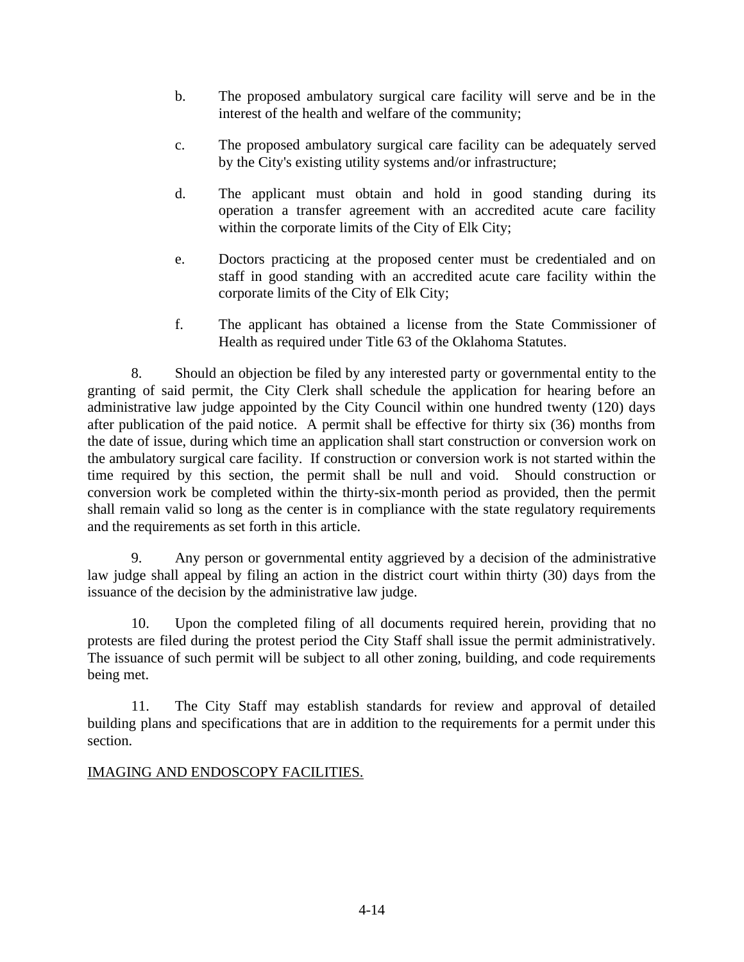- b. The proposed ambulatory surgical care facility will serve and be in the interest of the health and welfare of the community;
- c. The proposed ambulatory surgical care facility can be adequately served by the City's existing utility systems and/or infrastructure;
- d. The applicant must obtain and hold in good standing during its operation a transfer agreement with an accredited acute care facility within the corporate limits of the City of Elk City;
- e. Doctors practicing at the proposed center must be credentialed and on staff in good standing with an accredited acute care facility within the corporate limits of the City of Elk City;
- f. The applicant has obtained a license from the State Commissioner of Health as required under Title 63 of the Oklahoma Statutes.

8. Should an objection be filed by any interested party or governmental entity to the granting of said permit, the City Clerk shall schedule the application for hearing before an administrative law judge appointed by the City Council within one hundred twenty (120) days after publication of the paid notice. A permit shall be effective for thirty six (36) months from the date of issue, during which time an application shall start construction or conversion work on the ambulatory surgical care facility. If construction or conversion work is not started within the time required by this section, the permit shall be null and void. Should construction or conversion work be completed within the thirty-six-month period as provided, then the permit shall remain valid so long as the center is in compliance with the state regulatory requirements and the requirements as set forth in this article.

9. Any person or governmental entity aggrieved by a decision of the administrative law judge shall appeal by filing an action in the district court within thirty (30) days from the issuance of the decision by the administrative law judge.

10. Upon the completed filing of all documents required herein, providing that no protests are filed during the protest period the City Staff shall issue the permit administratively. The issuance of such permit will be subject to all other zoning, building, and code requirements being met.

11. The City Staff may establish standards for review and approval of detailed building plans and specifications that are in addition to the requirements for a permit under this section.

### IMAGING AND ENDOSCOPY FACILITIES.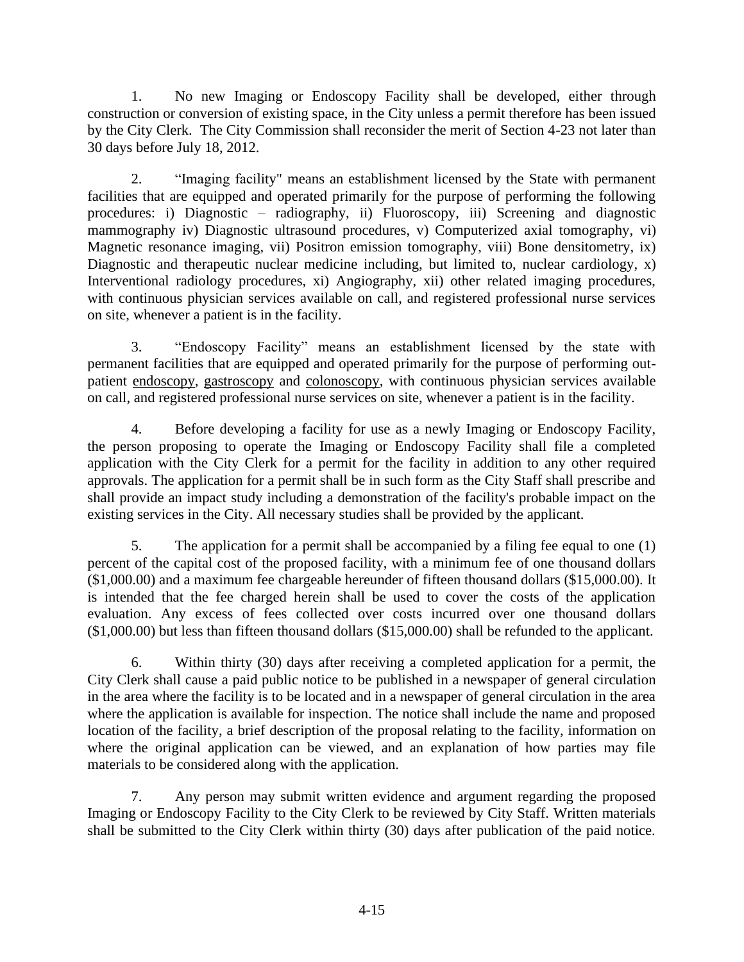1. No new Imaging or Endoscopy Facility shall be developed, either through construction or conversion of existing space, in the City unless a permit therefore has been issued by the City Clerk. The City Commission shall reconsider the merit of Section 4-23 not later than 30 days before July 18, 2012.

2. "Imaging facility" means an establishment licensed by the State with permanent facilities that are equipped and operated primarily for the purpose of performing the following procedures: i) Diagnostic – radiography, ii) Fluoroscopy, iii) Screening and diagnostic mammography iv) Diagnostic ultrasound procedures, v) Computerized axial tomography, vi) Magnetic resonance imaging, vii) Positron emission tomography, viii) Bone densitometry, ix) Diagnostic and therapeutic nuclear medicine including, but limited to, nuclear cardiology, x) Interventional radiology procedures, xi) Angiography, xii) other related imaging procedures, with continuous physician services available on call, and registered professional nurse services on site, whenever a patient is in the facility.

3. "Endoscopy Facility" means an establishment licensed by the state with permanent facilities that are equipped and operated primarily for the purpose of performing outpatient [endoscopy,](http://www.endo-world.com/digestiv2.htm#endoscopy) gastroscopy and [colonoscopy,](http://www.endo-world.com/digestiv1.htm#colonoscopy) with continuous physician services available on call, and registered professional nurse services on site, whenever a patient is in the facility.

4. Before developing a facility for use as a newly Imaging or Endoscopy Facility, the person proposing to operate the Imaging or Endoscopy Facility shall file a completed application with the City Clerk for a permit for the facility in addition to any other required approvals. The application for a permit shall be in such form as the City Staff shall prescribe and shall provide an impact study including a demonstration of the facility's probable impact on the existing services in the City. All necessary studies shall be provided by the applicant.

5. The application for a permit shall be accompanied by a filing fee equal to one (1) percent of the capital cost of the proposed facility, with a minimum fee of one thousand dollars (\$1,000.00) and a maximum fee chargeable hereunder of fifteen thousand dollars (\$15,000.00). It is intended that the fee charged herein shall be used to cover the costs of the application evaluation. Any excess of fees collected over costs incurred over one thousand dollars (\$1,000.00) but less than fifteen thousand dollars (\$15,000.00) shall be refunded to the applicant.

6. Within thirty (30) days after receiving a completed application for a permit, the City Clerk shall cause a paid public notice to be published in a newspaper of general circulation in the area where the facility is to be located and in a newspaper of general circulation in the area where the application is available for inspection. The notice shall include the name and proposed location of the facility, a brief description of the proposal relating to the facility, information on where the original application can be viewed, and an explanation of how parties may file materials to be considered along with the application.

7. Any person may submit written evidence and argument regarding the proposed Imaging or Endoscopy Facility to the City Clerk to be reviewed by City Staff. Written materials shall be submitted to the City Clerk within thirty (30) days after publication of the paid notice.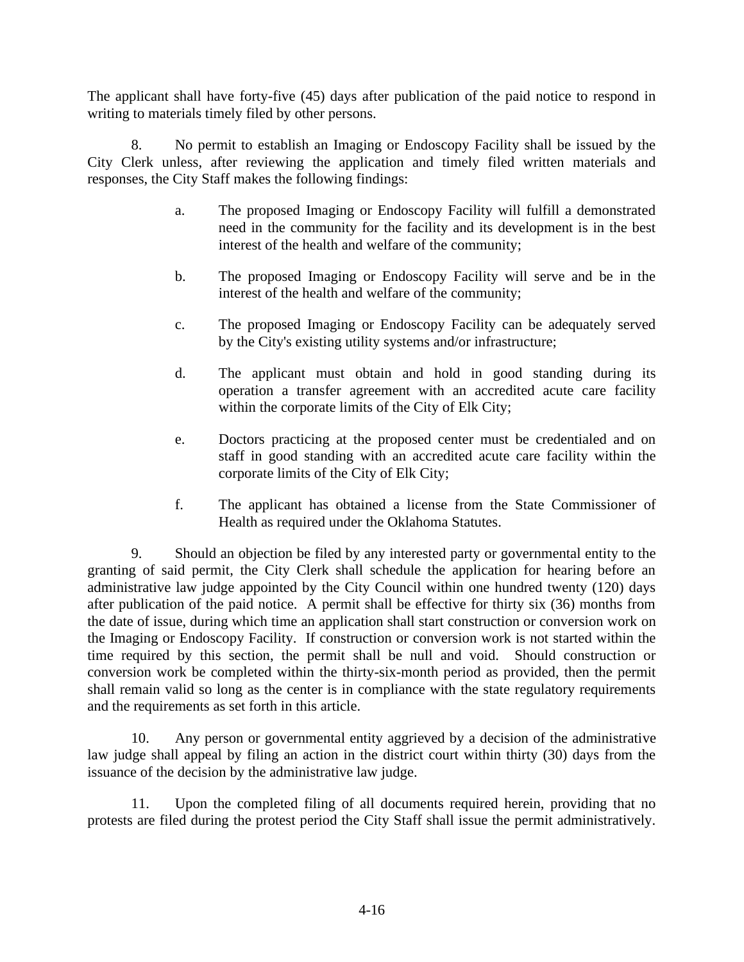The applicant shall have forty-five (45) days after publication of the paid notice to respond in writing to materials timely filed by other persons.

8. No permit to establish an Imaging or Endoscopy Facility shall be issued by the City Clerk unless, after reviewing the application and timely filed written materials and responses, the City Staff makes the following findings:

- a. The proposed Imaging or Endoscopy Facility will fulfill a demonstrated need in the community for the facility and its development is in the best interest of the health and welfare of the community;
- b. The proposed Imaging or Endoscopy Facility will serve and be in the interest of the health and welfare of the community;
- c. The proposed Imaging or Endoscopy Facility can be adequately served by the City's existing utility systems and/or infrastructure;
- d. The applicant must obtain and hold in good standing during its operation a transfer agreement with an accredited acute care facility within the corporate limits of the City of Elk City;
- e. Doctors practicing at the proposed center must be credentialed and on staff in good standing with an accredited acute care facility within the corporate limits of the City of Elk City;
- f. The applicant has obtained a license from the State Commissioner of Health as required under the Oklahoma Statutes.

9. Should an objection be filed by any interested party or governmental entity to the granting of said permit, the City Clerk shall schedule the application for hearing before an administrative law judge appointed by the City Council within one hundred twenty (120) days after publication of the paid notice. A permit shall be effective for thirty six (36) months from the date of issue, during which time an application shall start construction or conversion work on the Imaging or Endoscopy Facility. If construction or conversion work is not started within the time required by this section, the permit shall be null and void. Should construction or conversion work be completed within the thirty-six-month period as provided, then the permit shall remain valid so long as the center is in compliance with the state regulatory requirements and the requirements as set forth in this article.

10. Any person or governmental entity aggrieved by a decision of the administrative law judge shall appeal by filing an action in the district court within thirty (30) days from the issuance of the decision by the administrative law judge.

11. Upon the completed filing of all documents required herein, providing that no protests are filed during the protest period the City Staff shall issue the permit administratively.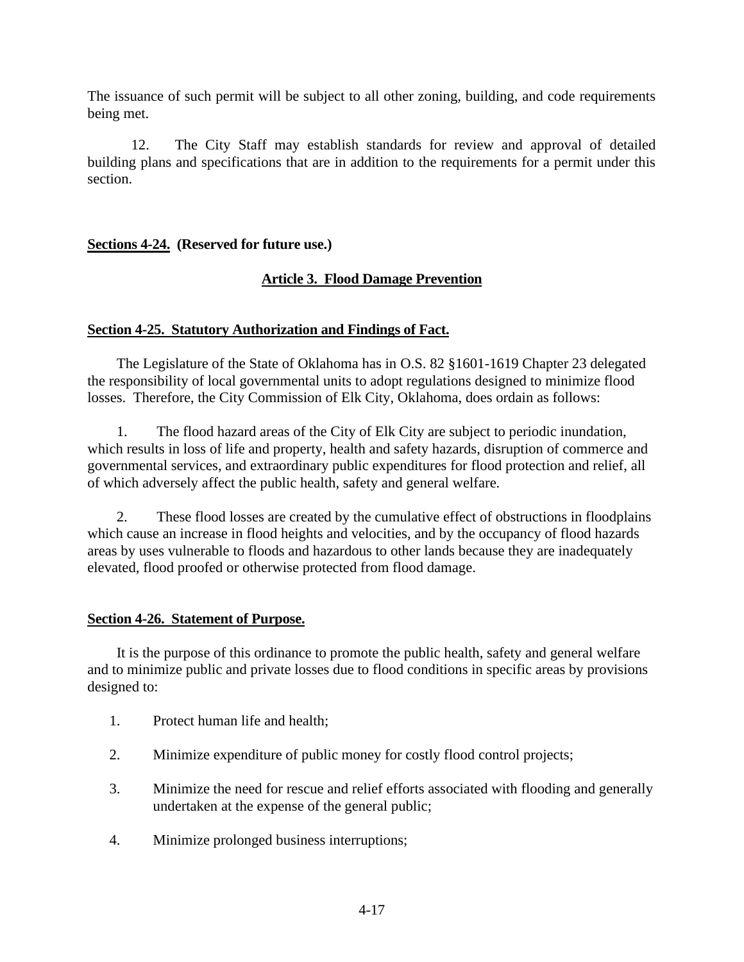The issuance of such permit will be subject to all other zoning, building, and code requirements being met.

12. The City Staff may establish standards for review and approval of detailed building plans and specifications that are in addition to the requirements for a permit under this section.

### **Sections 4-24. (Reserved for future use.)**

### **Article 3. Flood Damage Prevention**

#### **Section 4-25. Statutory Authorization and Findings of Fact.**

The Legislature of the State of Oklahoma has in O.S. 82 §1601-1619 Chapter 23 delegated the responsibility of local governmental units to adopt regulations designed to minimize flood losses. Therefore, the City Commission of Elk City, Oklahoma, does ordain as follows:

1. The flood hazard areas of the City of Elk City are subject to periodic inundation, which results in loss of life and property, health and safety hazards, disruption of commerce and governmental services, and extraordinary public expenditures for flood protection and relief, all of which adversely affect the public health, safety and general welfare.

2. These flood losses are created by the cumulative effect of obstructions in floodplains which cause an increase in flood heights and velocities, and by the occupancy of flood hazards areas by uses vulnerable to floods and hazardous to other lands because they are inadequately elevated, flood proofed or otherwise protected from flood damage.

#### **Section 4-26. Statement of Purpose.**

It is the purpose of this ordinance to promote the public health, safety and general welfare and to minimize public and private losses due to flood conditions in specific areas by provisions designed to:

- 1. Protect human life and health;
- 2. Minimize expenditure of public money for costly flood control projects;
- 3. Minimize the need for rescue and relief efforts associated with flooding and generally undertaken at the expense of the general public;
- 4. Minimize prolonged business interruptions;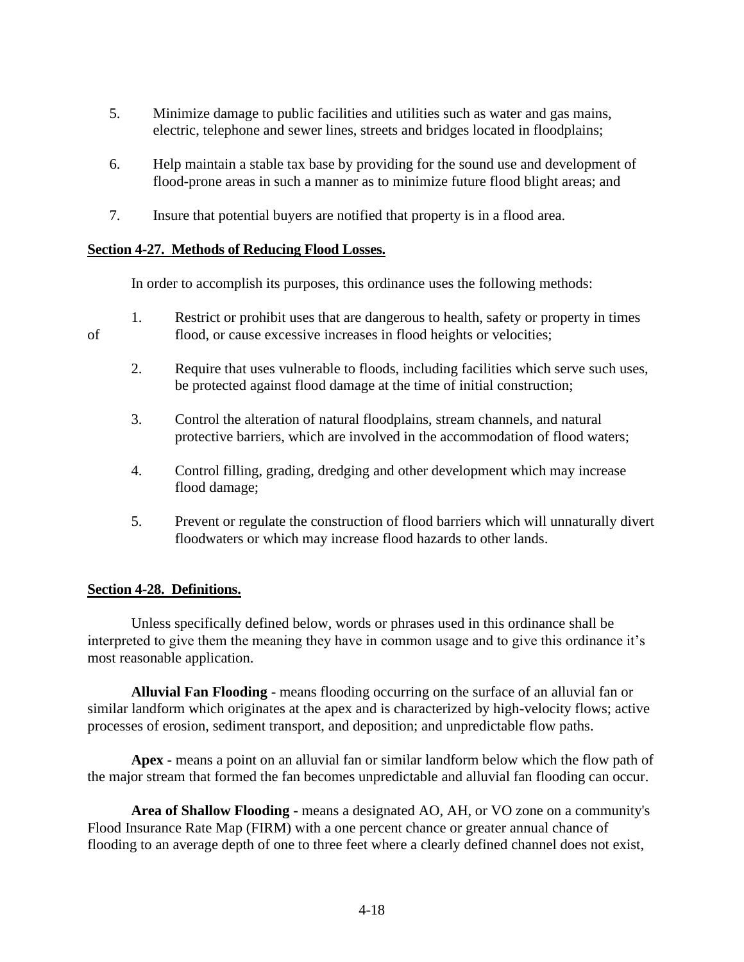- 5. Minimize damage to public facilities and utilities such as water and gas mains, electric, telephone and sewer lines, streets and bridges located in floodplains;
- 6. Help maintain a stable tax base by providing for the sound use and development of flood-prone areas in such a manner as to minimize future flood blight areas; and
- 7. Insure that potential buyers are notified that property is in a flood area.

### **Section 4-27. Methods of Reducing Flood Losses.**

In order to accomplish its purposes, this ordinance uses the following methods:

- 1. Restrict or prohibit uses that are dangerous to health, safety or property in times of flood, or cause excessive increases in flood heights or velocities;
	- 2. Require that uses vulnerable to floods, including facilities which serve such uses, be protected against flood damage at the time of initial construction;
	- 3. Control the alteration of natural floodplains, stream channels, and natural protective barriers, which are involved in the accommodation of flood waters;
	- 4. Control filling, grading, dredging and other development which may increase flood damage;
	- 5. Prevent or regulate the construction of flood barriers which will unnaturally divert floodwaters or which may increase flood hazards to other lands.

### **Section 4-28. Definitions.**

Unless specifically defined below, words or phrases used in this ordinance shall be interpreted to give them the meaning they have in common usage and to give this ordinance it's most reasonable application.

**Alluvial Fan Flooding -** means flooding occurring on the surface of an alluvial fan or similar landform which originates at the apex and is characterized by high-velocity flows; active processes of erosion, sediment transport, and deposition; and unpredictable flow paths.

**Apex -** means a point on an alluvial fan or similar landform below which the flow path of the major stream that formed the fan becomes unpredictable and alluvial fan flooding can occur.

**Area of Shallow Flooding -** means a designated AO, AH, or VO zone on a community's Flood Insurance Rate Map (FIRM) with a one percent chance or greater annual chance of flooding to an average depth of one to three feet where a clearly defined channel does not exist,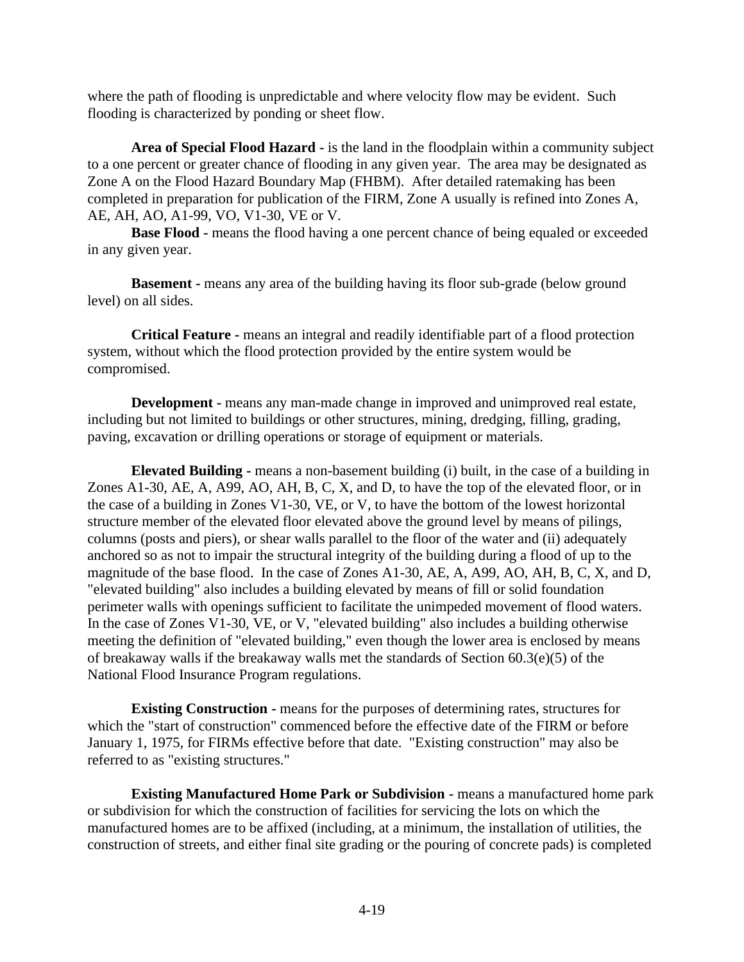where the path of flooding is unpredictable and where velocity flow may be evident. Such flooding is characterized by ponding or sheet flow.

**Area of Special Flood Hazard -** is the land in the floodplain within a community subject to a one percent or greater chance of flooding in any given year. The area may be designated as Zone A on the Flood Hazard Boundary Map (FHBM). After detailed ratemaking has been completed in preparation for publication of the FIRM, Zone A usually is refined into Zones A, AE, AH, AO, A1-99, VO, V1-30, VE or V.

**Base Flood -** means the flood having a one percent chance of being equaled or exceeded in any given year.

**Basement -** means any area of the building having its floor sub-grade (below ground level) on all sides.

**Critical Feature -** means an integral and readily identifiable part of a flood protection system, without which the flood protection provided by the entire system would be compromised.

**Development -** means any man-made change in improved and unimproved real estate, including but not limited to buildings or other structures, mining, dredging, filling, grading, paving, excavation or drilling operations or storage of equipment or materials.

**Elevated Building -** means a non-basement building (i) built, in the case of a building in Zones A1-30, AE, A, A99, AO, AH, B, C, X, and D, to have the top of the elevated floor, or in the case of a building in Zones V1-30, VE, or V, to have the bottom of the lowest horizontal structure member of the elevated floor elevated above the ground level by means of pilings, columns (posts and piers), or shear walls parallel to the floor of the water and (ii) adequately anchored so as not to impair the structural integrity of the building during a flood of up to the magnitude of the base flood. In the case of Zones A1-30, AE, A, A99, AO, AH, B, C, X, and D, "elevated building" also includes a building elevated by means of fill or solid foundation perimeter walls with openings sufficient to facilitate the unimpeded movement of flood waters. In the case of Zones V1-30, VE, or V, "elevated building" also includes a building otherwise meeting the definition of "elevated building," even though the lower area is enclosed by means of breakaway walls if the breakaway walls met the standards of Section 60.3(e)(5) of the National Flood Insurance Program regulations.

**Existing Construction -** means for the purposes of determining rates, structures for which the "start of construction" commenced before the effective date of the FIRM or before January 1, 1975, for FIRMs effective before that date. "Existing construction" may also be referred to as "existing structures."

**Existing Manufactured Home Park or Subdivision -** means a manufactured home park or subdivision for which the construction of facilities for servicing the lots on which the manufactured homes are to be affixed (including, at a minimum, the installation of utilities, the construction of streets, and either final site grading or the pouring of concrete pads) is completed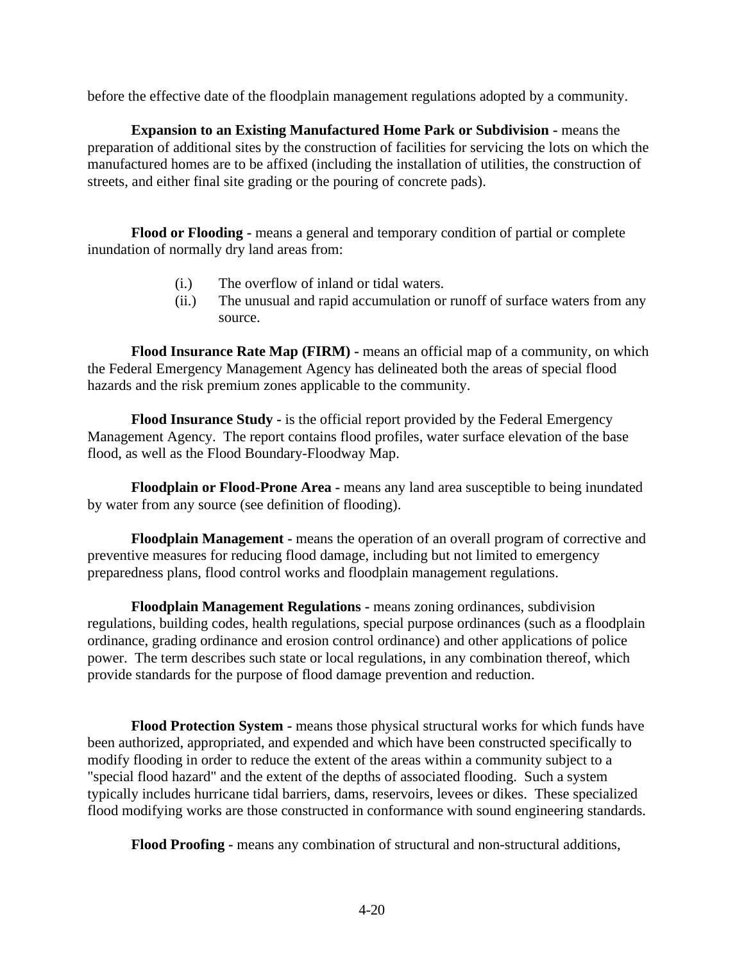before the effective date of the floodplain management regulations adopted by a community.

**Expansion to an Existing Manufactured Home Park or Subdivision -** means the preparation of additional sites by the construction of facilities for servicing the lots on which the manufactured homes are to be affixed (including the installation of utilities, the construction of streets, and either final site grading or the pouring of concrete pads).

**Flood or Flooding -** means a general and temporary condition of partial or complete inundation of normally dry land areas from:

- (i.) The overflow of inland or tidal waters.
- (ii.) The unusual and rapid accumulation or runoff of surface waters from any source.

**Flood Insurance Rate Map (FIRM) -** means an official map of a community, on which the Federal Emergency Management Agency has delineated both the areas of special flood hazards and the risk premium zones applicable to the community.

**Flood Insurance Study -** is the official report provided by the Federal Emergency Management Agency. The report contains flood profiles, water surface elevation of the base flood, as well as the Flood Boundary-Floodway Map.

**Floodplain or Flood-Prone Area -** means any land area susceptible to being inundated by water from any source (see definition of flooding).

**Floodplain Management -** means the operation of an overall program of corrective and preventive measures for reducing flood damage, including but not limited to emergency preparedness plans, flood control works and floodplain management regulations.

**Floodplain Management Regulations -** means zoning ordinances, subdivision regulations, building codes, health regulations, special purpose ordinances (such as a floodplain ordinance, grading ordinance and erosion control ordinance) and other applications of police power. The term describes such state or local regulations, in any combination thereof, which provide standards for the purpose of flood damage prevention and reduction.

**Flood Protection System -** means those physical structural works for which funds have been authorized, appropriated, and expended and which have been constructed specifically to modify flooding in order to reduce the extent of the areas within a community subject to a "special flood hazard" and the extent of the depths of associated flooding. Such a system typically includes hurricane tidal barriers, dams, reservoirs, levees or dikes. These specialized flood modifying works are those constructed in conformance with sound engineering standards.

**Flood Proofing -** means any combination of structural and non-structural additions,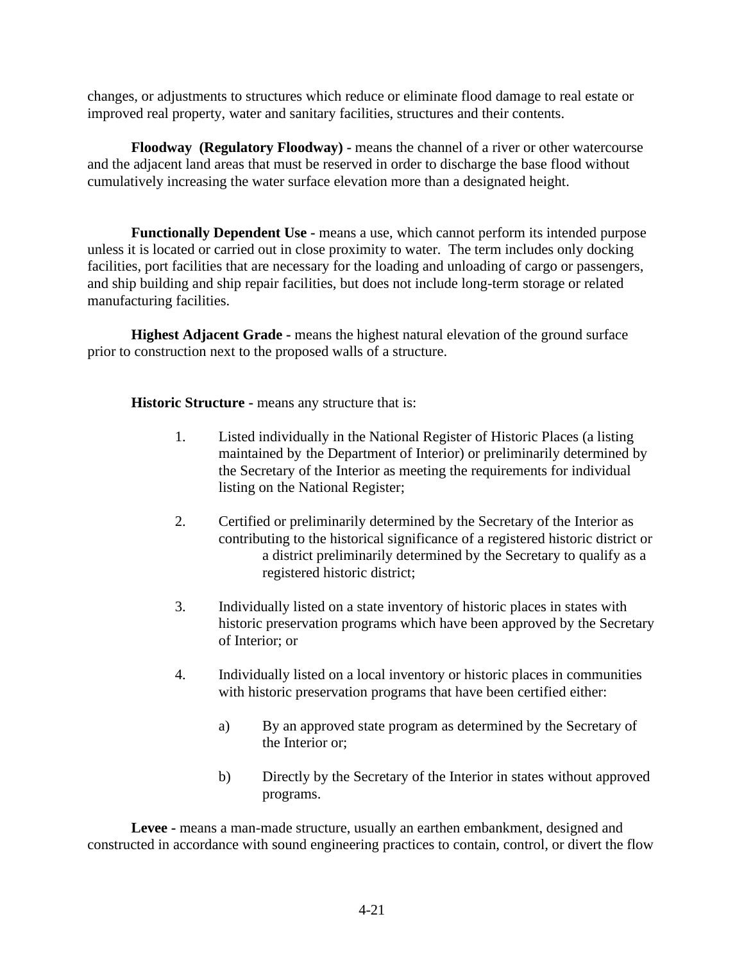changes, or adjustments to structures which reduce or eliminate flood damage to real estate or improved real property, water and sanitary facilities, structures and their contents.

**Floodway (Regulatory Floodway) -** means the channel of a river or other watercourse and the adjacent land areas that must be reserved in order to discharge the base flood without cumulatively increasing the water surface elevation more than a designated height.

**Functionally Dependent Use -** means a use, which cannot perform its intended purpose unless it is located or carried out in close proximity to water. The term includes only docking facilities, port facilities that are necessary for the loading and unloading of cargo or passengers, and ship building and ship repair facilities, but does not include long-term storage or related manufacturing facilities.

**Highest Adjacent Grade -** means the highest natural elevation of the ground surface prior to construction next to the proposed walls of a structure.

**Historic Structure -** means any structure that is:

- 1. Listed individually in the National Register of Historic Places (a listing maintained by the Department of Interior) or preliminarily determined by the Secretary of the Interior as meeting the requirements for individual listing on the National Register;
- 2. Certified or preliminarily determined by the Secretary of the Interior as contributing to the historical significance of a registered historic district or a district preliminarily determined by the Secretary to qualify as a registered historic district;
- 3. Individually listed on a state inventory of historic places in states with historic preservation programs which have been approved by the Secretary of Interior; or
- 4. Individually listed on a local inventory or historic places in communities with historic preservation programs that have been certified either:
	- a) By an approved state program as determined by the Secretary of the Interior or;
	- b) Directly by the Secretary of the Interior in states without approved programs.

**Levee -** means a man-made structure, usually an earthen embankment, designed and constructed in accordance with sound engineering practices to contain, control, or divert the flow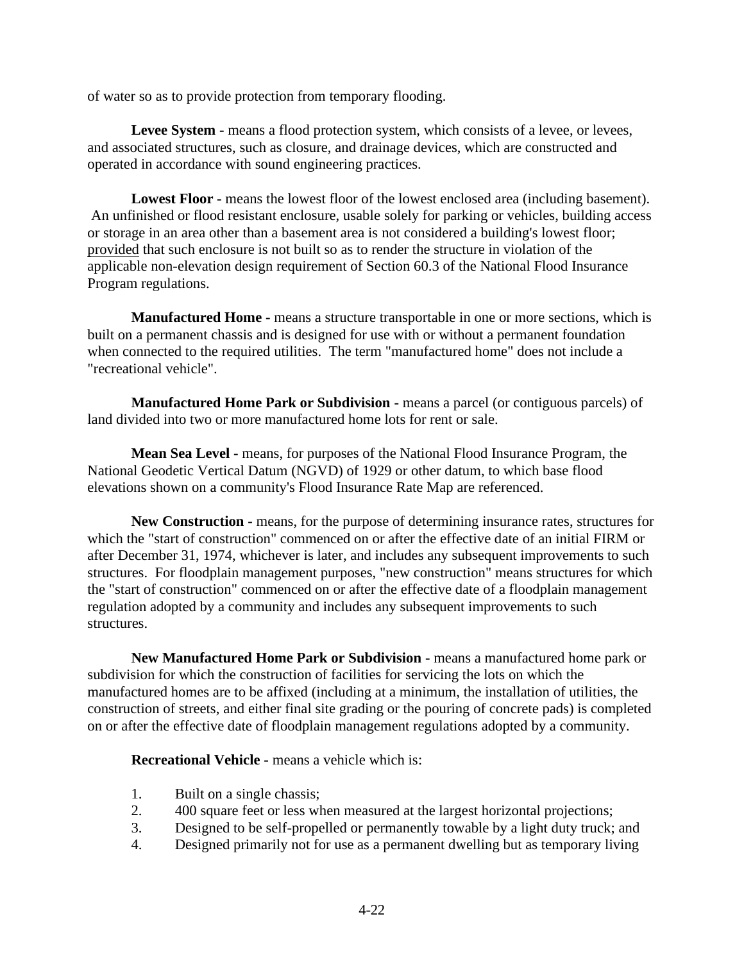of water so as to provide protection from temporary flooding.

**Levee System -** means a flood protection system, which consists of a levee, or levees, and associated structures, such as closure, and drainage devices, which are constructed and operated in accordance with sound engineering practices.

**Lowest Floor -** means the lowest floor of the lowest enclosed area (including basement). An unfinished or flood resistant enclosure, usable solely for parking or vehicles, building access or storage in an area other than a basement area is not considered a building's lowest floor; provided that such enclosure is not built so as to render the structure in violation of the applicable non-elevation design requirement of Section 60.3 of the National Flood Insurance Program regulations.

**Manufactured Home -** means a structure transportable in one or more sections, which is built on a permanent chassis and is designed for use with or without a permanent foundation when connected to the required utilities. The term "manufactured home" does not include a "recreational vehicle".

**Manufactured Home Park or Subdivision -** means a parcel (or contiguous parcels) of land divided into two or more manufactured home lots for rent or sale.

**Mean Sea Level -** means, for purposes of the National Flood Insurance Program, the National Geodetic Vertical Datum (NGVD) of 1929 or other datum, to which base flood elevations shown on a community's Flood Insurance Rate Map are referenced.

**New Construction -** means, for the purpose of determining insurance rates, structures for which the "start of construction" commenced on or after the effective date of an initial FIRM or after December 31, 1974, whichever is later, and includes any subsequent improvements to such structures. For floodplain management purposes, "new construction" means structures for which the "start of construction" commenced on or after the effective date of a floodplain management regulation adopted by a community and includes any subsequent improvements to such structures.

**New Manufactured Home Park or Subdivision -** means a manufactured home park or subdivision for which the construction of facilities for servicing the lots on which the manufactured homes are to be affixed (including at a minimum, the installation of utilities, the construction of streets, and either final site grading or the pouring of concrete pads) is completed on or after the effective date of floodplain management regulations adopted by a community.

**Recreational Vehicle -** means a vehicle which is:

- 1. Built on a single chassis;
- 2. 400 square feet or less when measured at the largest horizontal projections;
- 3. Designed to be self-propelled or permanently towable by a light duty truck; and
- 4. Designed primarily not for use as a permanent dwelling but as temporary living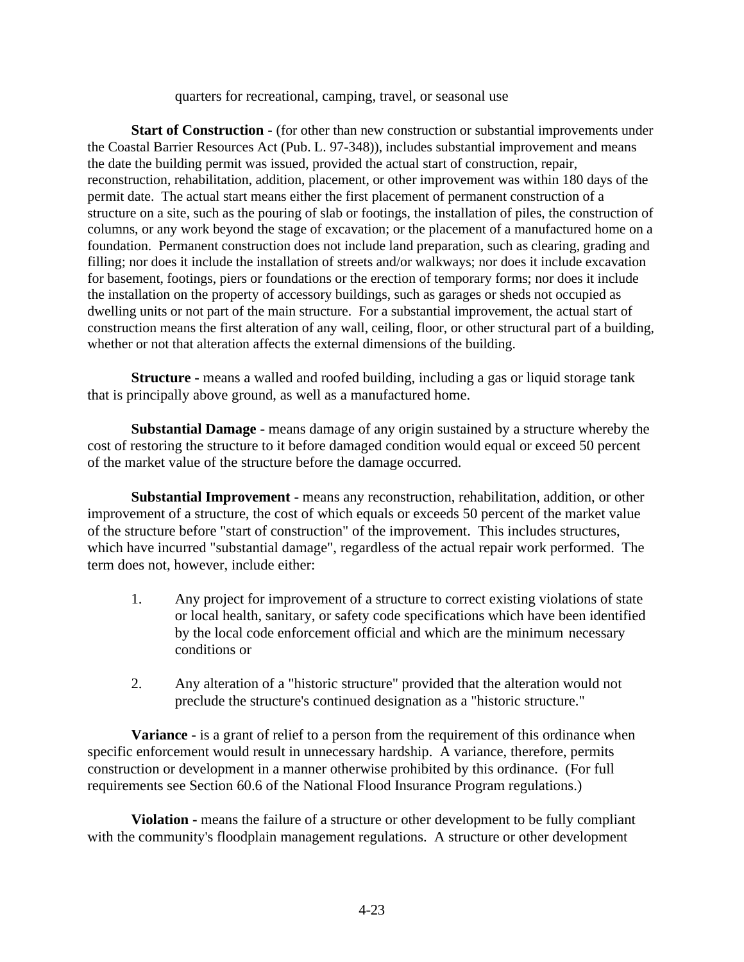quarters for recreational, camping, travel, or seasonal use

**Start of Construction -** (for other than new construction or substantial improvements under the Coastal Barrier Resources Act (Pub. L. 97-348)), includes substantial improvement and means the date the building permit was issued, provided the actual start of construction, repair, reconstruction, rehabilitation, addition, placement, or other improvement was within 180 days of the permit date. The actual start means either the first placement of permanent construction of a structure on a site, such as the pouring of slab or footings, the installation of piles, the construction of columns, or any work beyond the stage of excavation; or the placement of a manufactured home on a foundation. Permanent construction does not include land preparation, such as clearing, grading and filling; nor does it include the installation of streets and/or walkways; nor does it include excavation for basement, footings, piers or foundations or the erection of temporary forms; nor does it include the installation on the property of accessory buildings, such as garages or sheds not occupied as dwelling units or not part of the main structure. For a substantial improvement, the actual start of construction means the first alteration of any wall, ceiling, floor, or other structural part of a building, whether or not that alteration affects the external dimensions of the building.

**Structure -** means a walled and roofed building, including a gas or liquid storage tank that is principally above ground, as well as a manufactured home.

**Substantial Damage -** means damage of any origin sustained by a structure whereby the cost of restoring the structure to it before damaged condition would equal or exceed 50 percent of the market value of the structure before the damage occurred.

**Substantial Improvement -** means any reconstruction, rehabilitation, addition, or other improvement of a structure, the cost of which equals or exceeds 50 percent of the market value of the structure before "start of construction" of the improvement. This includes structures, which have incurred "substantial damage", regardless of the actual repair work performed. The term does not, however, include either:

- 1. Any project for improvement of a structure to correct existing violations of state or local health, sanitary, or safety code specifications which have been identified by the local code enforcement official and which are the minimum necessary conditions or
- 2. Any alteration of a "historic structure" provided that the alteration would not preclude the structure's continued designation as a "historic structure."

**Variance -** is a grant of relief to a person from the requirement of this ordinance when specific enforcement would result in unnecessary hardship. A variance, therefore, permits construction or development in a manner otherwise prohibited by this ordinance. (For full requirements see Section 60.6 of the National Flood Insurance Program regulations.)

**Violation -** means the failure of a structure or other development to be fully compliant with the community's floodplain management regulations. A structure or other development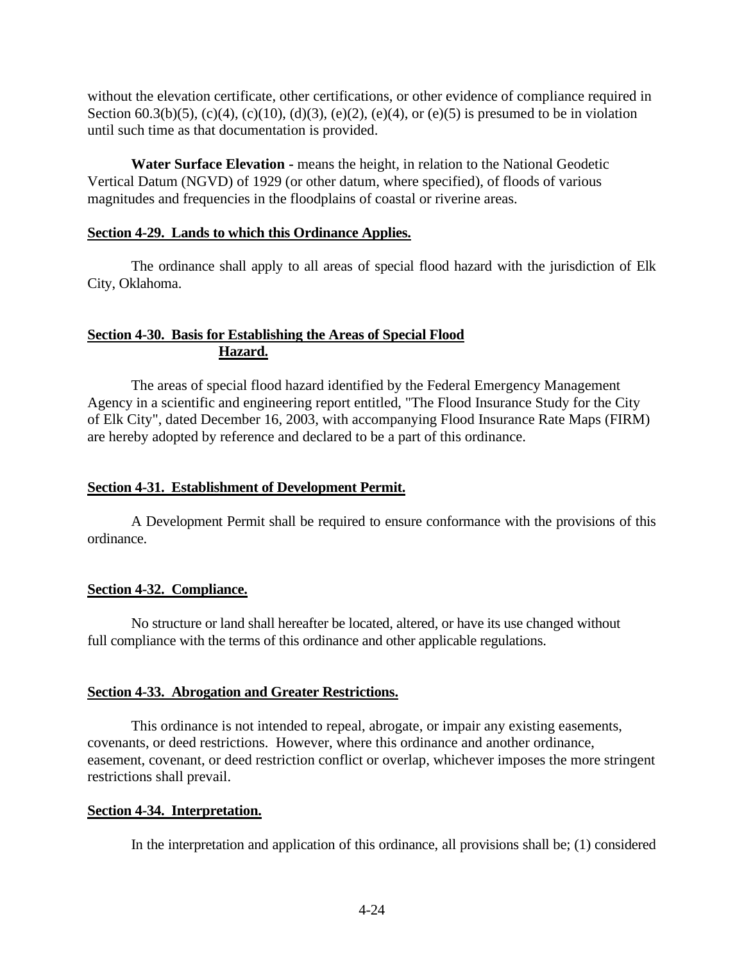without the elevation certificate, other certifications, or other evidence of compliance required in Section 60.3(b)(5), (c)(4), (c)(10), (d)(3), (e)(2), (e)(4), or (e)(5) is presumed to be in violation until such time as that documentation is provided.

**Water Surface Elevation -** means the height, in relation to the National Geodetic Vertical Datum (NGVD) of 1929 (or other datum, where specified), of floods of various magnitudes and frequencies in the floodplains of coastal or riverine areas.

#### **Section 4-29. Lands to which this Ordinance Applies.**

The ordinance shall apply to all areas of special flood hazard with the jurisdiction of Elk City, Oklahoma.

### **Section 4-30. Basis for Establishing the Areas of Special Flood Hazard.**

The areas of special flood hazard identified by the Federal Emergency Management Agency in a scientific and engineering report entitled, "The Flood Insurance Study for the City of Elk City", dated December 16, 2003, with accompanying Flood Insurance Rate Maps (FIRM) are hereby adopted by reference and declared to be a part of this ordinance.

### **Section 4-31. Establishment of Development Permit.**

A Development Permit shall be required to ensure conformance with the provisions of this ordinance.

### **Section 4-32. Compliance.**

No structure or land shall hereafter be located, altered, or have its use changed without full compliance with the terms of this ordinance and other applicable regulations.

### **Section 4-33. Abrogation and Greater Restrictions.**

This ordinance is not intended to repeal, abrogate, or impair any existing easements, covenants, or deed restrictions. However, where this ordinance and another ordinance, easement, covenant, or deed restriction conflict or overlap, whichever imposes the more stringent restrictions shall prevail.

#### **Section 4-34. Interpretation.**

In the interpretation and application of this ordinance, all provisions shall be; (1) considered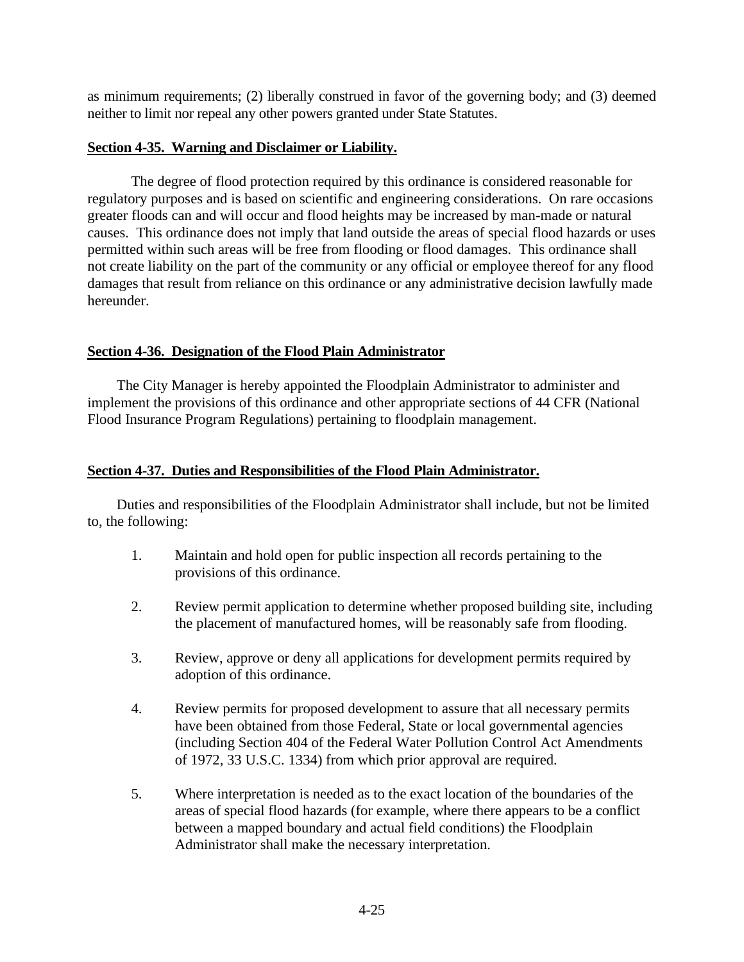as minimum requirements; (2) liberally construed in favor of the governing body; and (3) deemed neither to limit nor repeal any other powers granted under State Statutes.

### **Section 4-35. Warning and Disclaimer or Liability.**

The degree of flood protection required by this ordinance is considered reasonable for regulatory purposes and is based on scientific and engineering considerations. On rare occasions greater floods can and will occur and flood heights may be increased by man-made or natural causes. This ordinance does not imply that land outside the areas of special flood hazards or uses permitted within such areas will be free from flooding or flood damages. This ordinance shall not create liability on the part of the community or any official or employee thereof for any flood damages that result from reliance on this ordinance or any administrative decision lawfully made hereunder.

### **Section 4-36. Designation of the Flood Plain Administrator**

The City Manager is hereby appointed the Floodplain Administrator to administer and implement the provisions of this ordinance and other appropriate sections of 44 CFR (National Flood Insurance Program Regulations) pertaining to floodplain management.

### **Section 4-37. Duties and Responsibilities of the Flood Plain Administrator.**

Duties and responsibilities of the Floodplain Administrator shall include, but not be limited to, the following:

- 1. Maintain and hold open for public inspection all records pertaining to the provisions of this ordinance.
- 2. Review permit application to determine whether proposed building site, including the placement of manufactured homes, will be reasonably safe from flooding.
- 3. Review, approve or deny all applications for development permits required by adoption of this ordinance.
- 4. Review permits for proposed development to assure that all necessary permits have been obtained from those Federal, State or local governmental agencies (including Section 404 of the Federal Water Pollution Control Act Amendments of 1972, 33 U.S.C. 1334) from which prior approval are required.
- 5. Where interpretation is needed as to the exact location of the boundaries of the areas of special flood hazards (for example, where there appears to be a conflict between a mapped boundary and actual field conditions) the Floodplain Administrator shall make the necessary interpretation.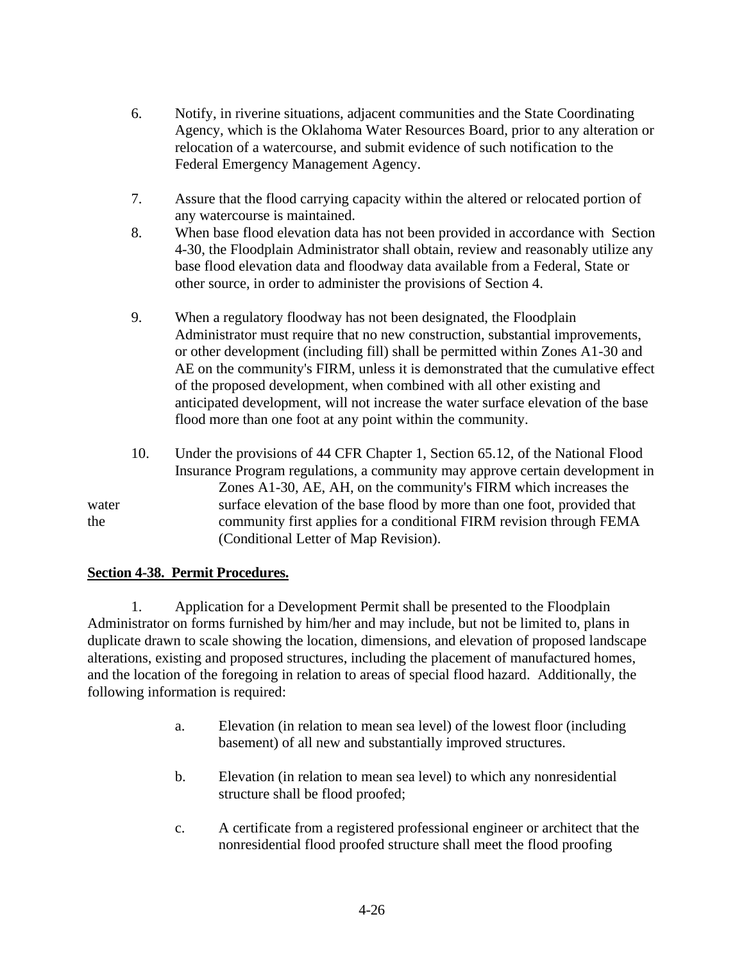- 6. Notify, in riverine situations, adjacent communities and the State Coordinating Agency, which is the Oklahoma Water Resources Board, prior to any alteration or relocation of a watercourse, and submit evidence of such notification to the Federal Emergency Management Agency.
- 7. Assure that the flood carrying capacity within the altered or relocated portion of any watercourse is maintained.
- 8. When base flood elevation data has not been provided in accordance with Section 4-30, the Floodplain Administrator shall obtain, review and reasonably utilize any base flood elevation data and floodway data available from a Federal, State or other source, in order to administer the provisions of Section 4.
- 9. When a regulatory floodway has not been designated, the Floodplain Administrator must require that no new construction, substantial improvements, or other development (including fill) shall be permitted within Zones A1-30 and AE on the community's FIRM, unless it is demonstrated that the cumulative effect of the proposed development, when combined with all other existing and anticipated development, will not increase the water surface elevation of the base flood more than one foot at any point within the community.
- 10. Under the provisions of 44 CFR Chapter 1, Section 65.12, of the National Flood Insurance Program regulations, a community may approve certain development in Zones A1-30, AE, AH, on the community's FIRM which increases the water surface elevation of the base flood by more than one foot, provided that the community first applies for a conditional FIRM revision through FEMA (Conditional Letter of Map Revision).

### **Section 4-38. Permit Procedures.**

1. Application for a Development Permit shall be presented to the Floodplain Administrator on forms furnished by him/her and may include, but not be limited to, plans in duplicate drawn to scale showing the location, dimensions, and elevation of proposed landscape alterations, existing and proposed structures, including the placement of manufactured homes, and the location of the foregoing in relation to areas of special flood hazard. Additionally, the following information is required:

- a. Elevation (in relation to mean sea level) of the lowest floor (including basement) of all new and substantially improved structures.
- b. Elevation (in relation to mean sea level) to which any nonresidential structure shall be flood proofed;
- c. A certificate from a registered professional engineer or architect that the nonresidential flood proofed structure shall meet the flood proofing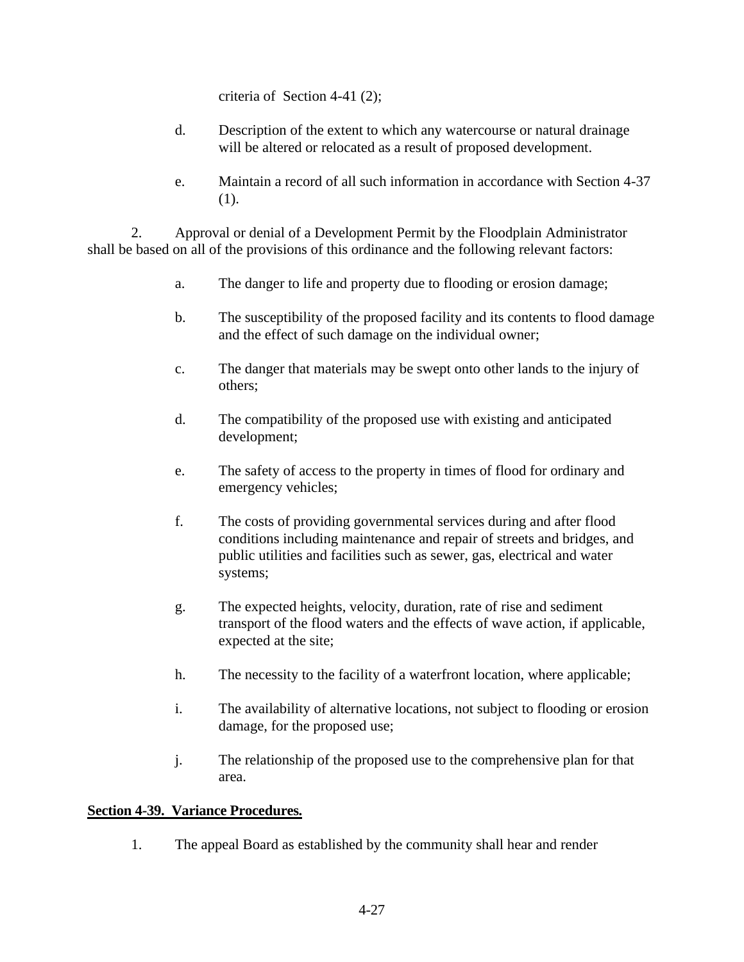criteria of Section 4-41 (2);

- d. Description of the extent to which any watercourse or natural drainage will be altered or relocated as a result of proposed development.
- e. Maintain a record of all such information in accordance with Section 4-37 (1).

2. Approval or denial of a Development Permit by the Floodplain Administrator shall be based on all of the provisions of this ordinance and the following relevant factors:

- a. The danger to life and property due to flooding or erosion damage;
- b. The susceptibility of the proposed facility and its contents to flood damage and the effect of such damage on the individual owner;
- c. The danger that materials may be swept onto other lands to the injury of others;
- d. The compatibility of the proposed use with existing and anticipated development;
- e. The safety of access to the property in times of flood for ordinary and emergency vehicles;
- f. The costs of providing governmental services during and after flood conditions including maintenance and repair of streets and bridges, and public utilities and facilities such as sewer, gas, electrical and water systems;
- g. The expected heights, velocity, duration, rate of rise and sediment transport of the flood waters and the effects of wave action, if applicable, expected at the site;
- h. The necessity to the facility of a waterfront location, where applicable;
- i. The availability of alternative locations, not subject to flooding or erosion damage, for the proposed use;
- j. The relationship of the proposed use to the comprehensive plan for that area.

### **Section 4-39. Variance Procedures.**

1. The appeal Board as established by the community shall hear and render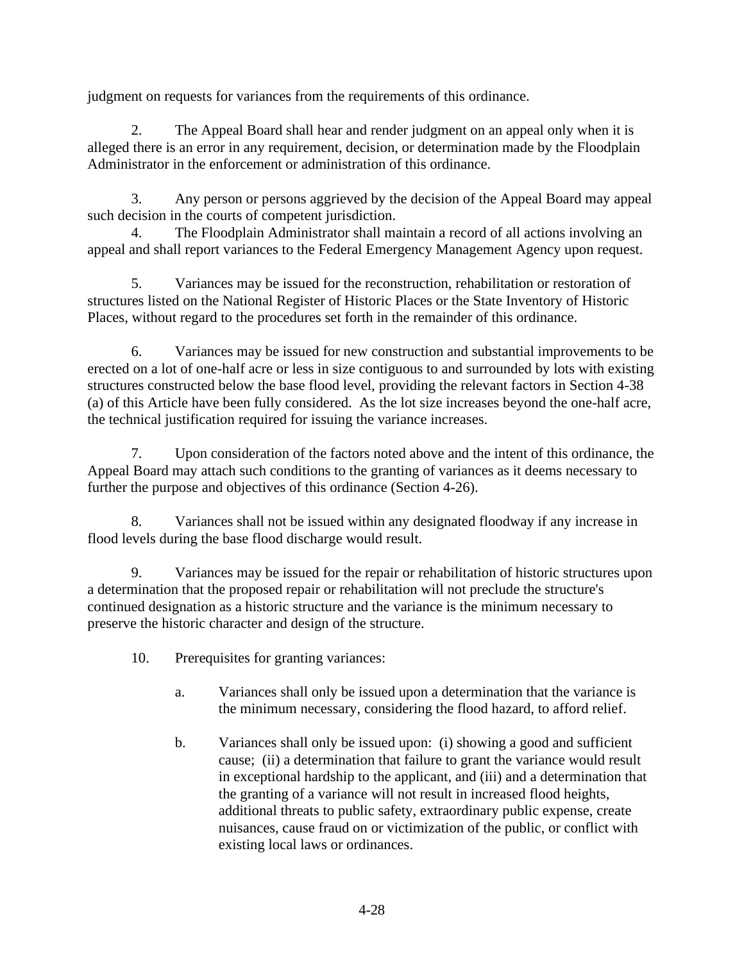judgment on requests for variances from the requirements of this ordinance.

2. The Appeal Board shall hear and render judgment on an appeal only when it is alleged there is an error in any requirement, decision, or determination made by the Floodplain Administrator in the enforcement or administration of this ordinance.

3. Any person or persons aggrieved by the decision of the Appeal Board may appeal such decision in the courts of competent jurisdiction.

4. The Floodplain Administrator shall maintain a record of all actions involving an appeal and shall report variances to the Federal Emergency Management Agency upon request.

5. Variances may be issued for the reconstruction, rehabilitation or restoration of structures listed on the National Register of Historic Places or the State Inventory of Historic Places, without regard to the procedures set forth in the remainder of this ordinance.

6. Variances may be issued for new construction and substantial improvements to be erected on a lot of one-half acre or less in size contiguous to and surrounded by lots with existing structures constructed below the base flood level, providing the relevant factors in Section 4-38 (a) of this Article have been fully considered. As the lot size increases beyond the one-half acre, the technical justification required for issuing the variance increases.

7. Upon consideration of the factors noted above and the intent of this ordinance, the Appeal Board may attach such conditions to the granting of variances as it deems necessary to further the purpose and objectives of this ordinance (Section 4-26).

8. Variances shall not be issued within any designated floodway if any increase in flood levels during the base flood discharge would result.

9. Variances may be issued for the repair or rehabilitation of historic structures upon a determination that the proposed repair or rehabilitation will not preclude the structure's continued designation as a historic structure and the variance is the minimum necessary to preserve the historic character and design of the structure.

- 10. Prerequisites for granting variances:
	- a. Variances shall only be issued upon a determination that the variance is the minimum necessary, considering the flood hazard, to afford relief.
	- b. Variances shall only be issued upon: (i) showing a good and sufficient cause; (ii) a determination that failure to grant the variance would result in exceptional hardship to the applicant, and (iii) and a determination that the granting of a variance will not result in increased flood heights, additional threats to public safety, extraordinary public expense, create nuisances, cause fraud on or victimization of the public, or conflict with existing local laws or ordinances.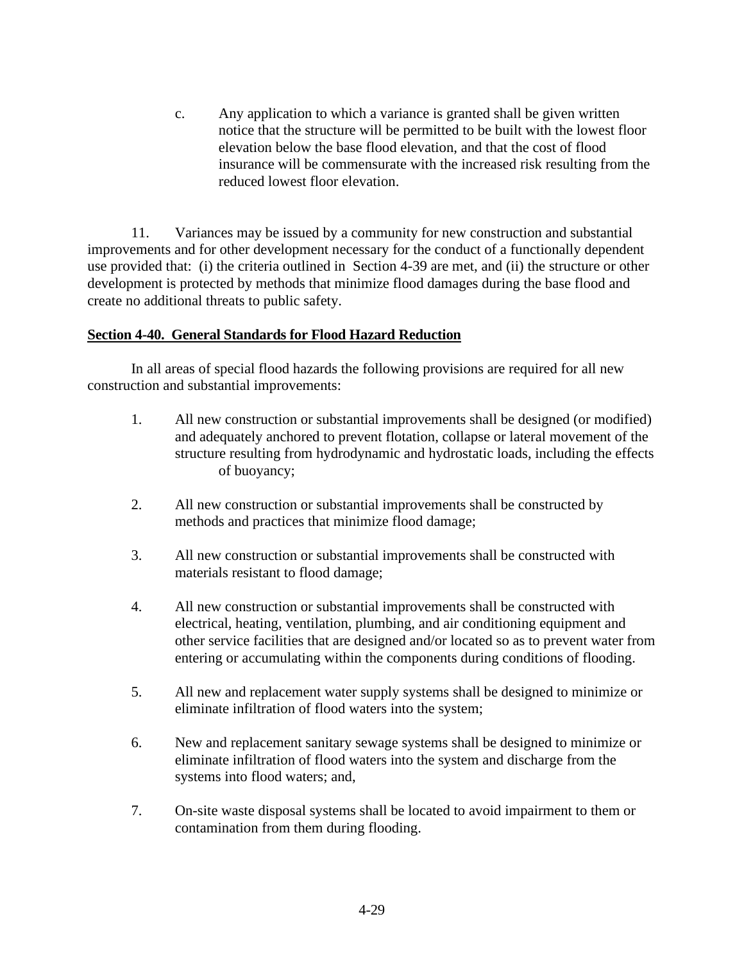c. Any application to which a variance is granted shall be given written notice that the structure will be permitted to be built with the lowest floor elevation below the base flood elevation, and that the cost of flood insurance will be commensurate with the increased risk resulting from the reduced lowest floor elevation.

11. Variances may be issued by a community for new construction and substantial improvements and for other development necessary for the conduct of a functionally dependent use provided that: (i) the criteria outlined in Section 4-39 are met, and (ii) the structure or other development is protected by methods that minimize flood damages during the base flood and create no additional threats to public safety.

### **Section 4-40. General Standards for Flood Hazard Reduction**

In all areas of special flood hazards the following provisions are required for all new construction and substantial improvements:

- 1. All new construction or substantial improvements shall be designed (or modified) and adequately anchored to prevent flotation, collapse or lateral movement of the structure resulting from hydrodynamic and hydrostatic loads, including the effects of buoyancy;
- 2. All new construction or substantial improvements shall be constructed by methods and practices that minimize flood damage;
- 3. All new construction or substantial improvements shall be constructed with materials resistant to flood damage;
- 4. All new construction or substantial improvements shall be constructed with electrical, heating, ventilation, plumbing, and air conditioning equipment and other service facilities that are designed and/or located so as to prevent water from entering or accumulating within the components during conditions of flooding.
- 5. All new and replacement water supply systems shall be designed to minimize or eliminate infiltration of flood waters into the system;
- 6. New and replacement sanitary sewage systems shall be designed to minimize or eliminate infiltration of flood waters into the system and discharge from the systems into flood waters; and,
- 7. On-site waste disposal systems shall be located to avoid impairment to them or contamination from them during flooding.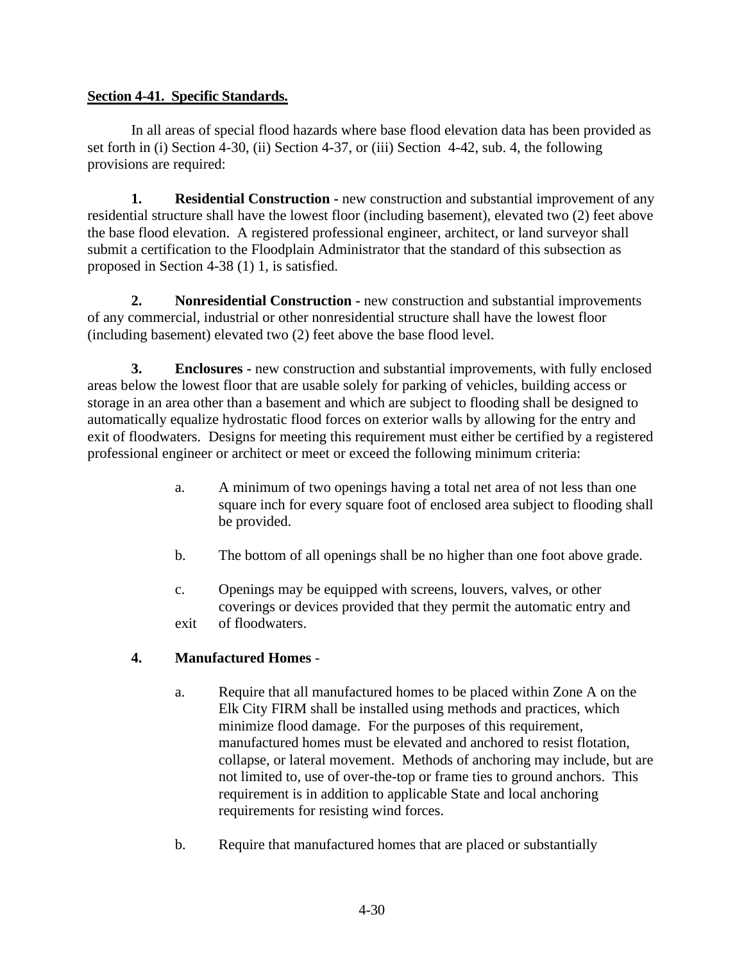## **Section 4-41. Specific Standards.**

In all areas of special flood hazards where base flood elevation data has been provided as set forth in (i) Section 4-30, (ii) Section 4-37, or (iii) Section 4-42, sub. 4, the following provisions are required:

**1. Residential Construction -** new construction and substantial improvement of any residential structure shall have the lowest floor (including basement), elevated two (2) feet above the base flood elevation. A registered professional engineer, architect, or land surveyor shall submit a certification to the Floodplain Administrator that the standard of this subsection as proposed in Section 4-38 (1) 1, is satisfied.

**2. Nonresidential Construction -** new construction and substantial improvements of any commercial, industrial or other nonresidential structure shall have the lowest floor (including basement) elevated two (2) feet above the base flood level.

**3. Enclosures -** new construction and substantial improvements, with fully enclosed areas below the lowest floor that are usable solely for parking of vehicles, building access or storage in an area other than a basement and which are subject to flooding shall be designed to automatically equalize hydrostatic flood forces on exterior walls by allowing for the entry and exit of floodwaters. Designs for meeting this requirement must either be certified by a registered professional engineer or architect or meet or exceed the following minimum criteria:

- a. A minimum of two openings having a total net area of not less than one square inch for every square foot of enclosed area subject to flooding shall be provided.
- b. The bottom of all openings shall be no higher than one foot above grade.
- c. Openings may be equipped with screens, louvers, valves, or other coverings or devices provided that they permit the automatic entry and exit of floodwaters.

# **4. Manufactured Homes** -

- a. Require that all manufactured homes to be placed within Zone A on the Elk City FIRM shall be installed using methods and practices, which minimize flood damage. For the purposes of this requirement, manufactured homes must be elevated and anchored to resist flotation, collapse, or lateral movement. Methods of anchoring may include, but are not limited to, use of over-the-top or frame ties to ground anchors. This requirement is in addition to applicable State and local anchoring requirements for resisting wind forces.
- b. Require that manufactured homes that are placed or substantially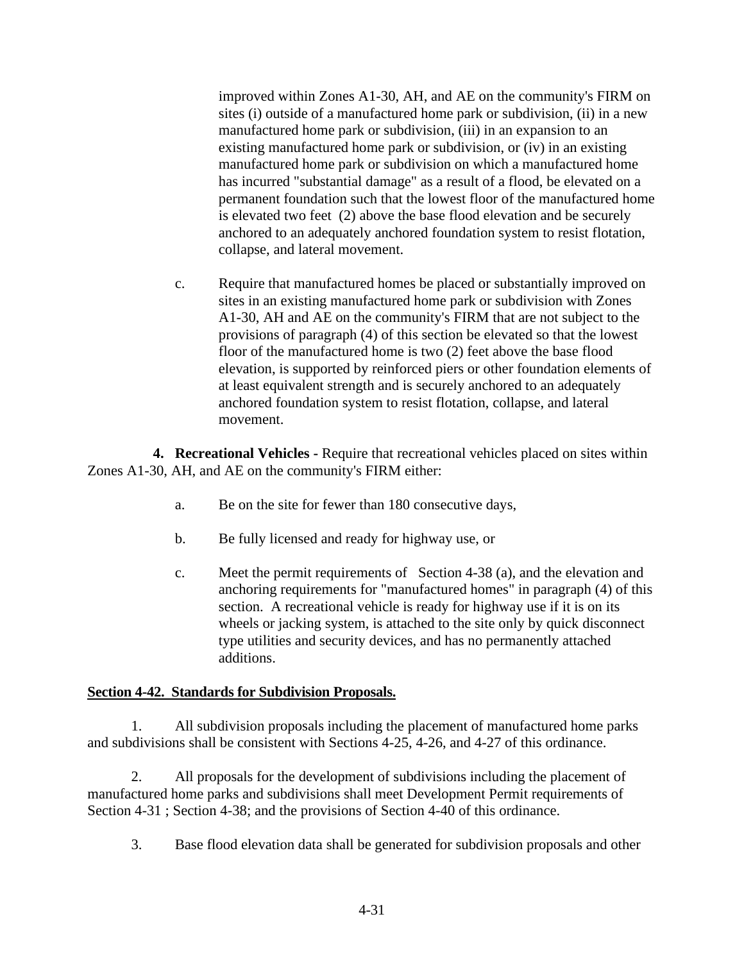improved within Zones A1-30, AH, and AE on the community's FIRM on sites (i) outside of a manufactured home park or subdivision, (ii) in a new manufactured home park or subdivision, (iii) in an expansion to an existing manufactured home park or subdivision, or (iv) in an existing manufactured home park or subdivision on which a manufactured home has incurred "substantial damage" as a result of a flood, be elevated on a permanent foundation such that the lowest floor of the manufactured home is elevated two feet (2) above the base flood elevation and be securely anchored to an adequately anchored foundation system to resist flotation, collapse, and lateral movement.

c. Require that manufactured homes be placed or substantially improved on sites in an existing manufactured home park or subdivision with Zones A1-30, AH and AE on the community's FIRM that are not subject to the provisions of paragraph (4) of this section be elevated so that the lowest floor of the manufactured home is two (2) feet above the base flood elevation, is supported by reinforced piers or other foundation elements of at least equivalent strength and is securely anchored to an adequately anchored foundation system to resist flotation, collapse, and lateral movement.

**4. Recreational Vehicles -** Require that recreational vehicles placed on sites within Zones A1-30, AH, and AE on the community's FIRM either:

- a. Be on the site for fewer than 180 consecutive days,
- b. Be fully licensed and ready for highway use, or
- c. Meet the permit requirements of Section 4-38 (a), and the elevation and anchoring requirements for "manufactured homes" in paragraph (4) of this section. A recreational vehicle is ready for highway use if it is on its wheels or jacking system, is attached to the site only by quick disconnect type utilities and security devices, and has no permanently attached additions.

### **Section 4-42. Standards for Subdivision Proposals.**

1. All subdivision proposals including the placement of manufactured home parks and subdivisions shall be consistent with Sections 4-25, 4-26, and 4-27 of this ordinance.

2. All proposals for the development of subdivisions including the placement of manufactured home parks and subdivisions shall meet Development Permit requirements of Section 4-31 ; Section 4-38; and the provisions of Section 4-40 of this ordinance.

3. Base flood elevation data shall be generated for subdivision proposals and other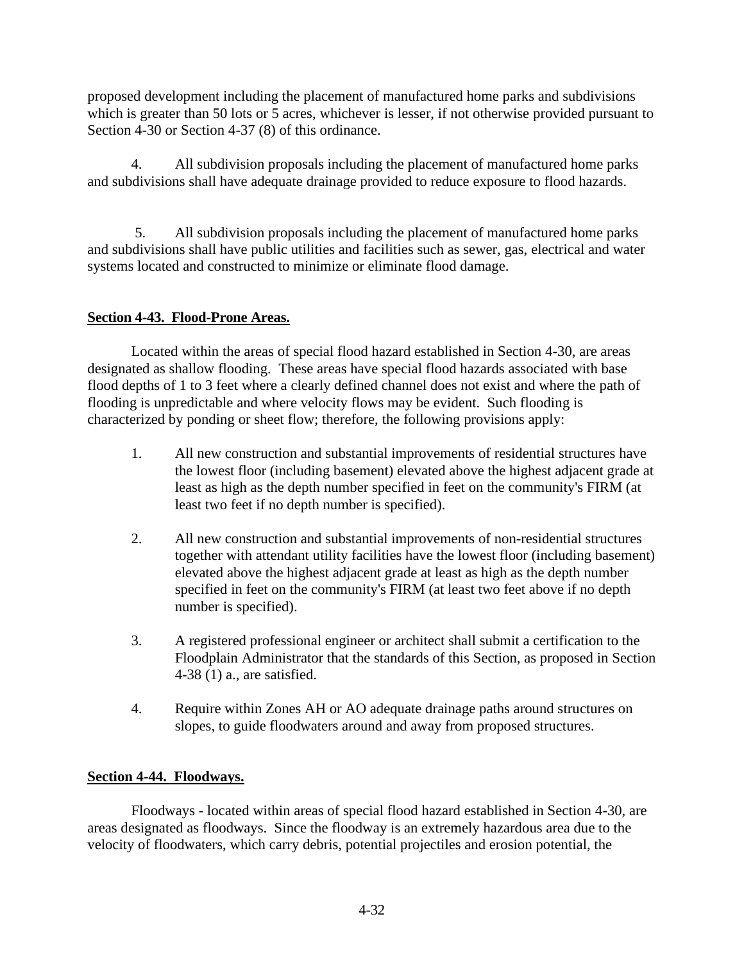proposed development including the placement of manufactured home parks and subdivisions which is greater than 50 lots or 5 acres, whichever is lesser, if not otherwise provided pursuant to Section 4-30 or Section 4-37 (8) of this ordinance.

4. All subdivision proposals including the placement of manufactured home parks and subdivisions shall have adequate drainage provided to reduce exposure to flood hazards.

5. All subdivision proposals including the placement of manufactured home parks and subdivisions shall have public utilities and facilities such as sewer, gas, electrical and water systems located and constructed to minimize or eliminate flood damage.

## **Section 4-43. Flood-Prone Areas.**

Located within the areas of special flood hazard established in Section 4-30, are areas designated as shallow flooding. These areas have special flood hazards associated with base flood depths of 1 to 3 feet where a clearly defined channel does not exist and where the path of flooding is unpredictable and where velocity flows may be evident. Such flooding is characterized by ponding or sheet flow; therefore, the following provisions apply:

- 1. All new construction and substantial improvements of residential structures have the lowest floor (including basement) elevated above the highest adjacent grade at least as high as the depth number specified in feet on the community's FIRM (at least two feet if no depth number is specified).
- 2. All new construction and substantial improvements of non-residential structures together with attendant utility facilities have the lowest floor (including basement) elevated above the highest adjacent grade at least as high as the depth number specified in feet on the community's FIRM (at least two feet above if no depth number is specified).
- 3. A registered professional engineer or architect shall submit a certification to the Floodplain Administrator that the standards of this Section, as proposed in Section 4-38 (1) a., are satisfied.
- 4. Require within Zones AH or AO adequate drainage paths around structures on slopes, to guide floodwaters around and away from proposed structures.

# **Section 4-44. Floodways.**

Floodways - located within areas of special flood hazard established in Section 4-30, are areas designated as floodways. Since the floodway is an extremely hazardous area due to the velocity of floodwaters, which carry debris, potential projectiles and erosion potential, the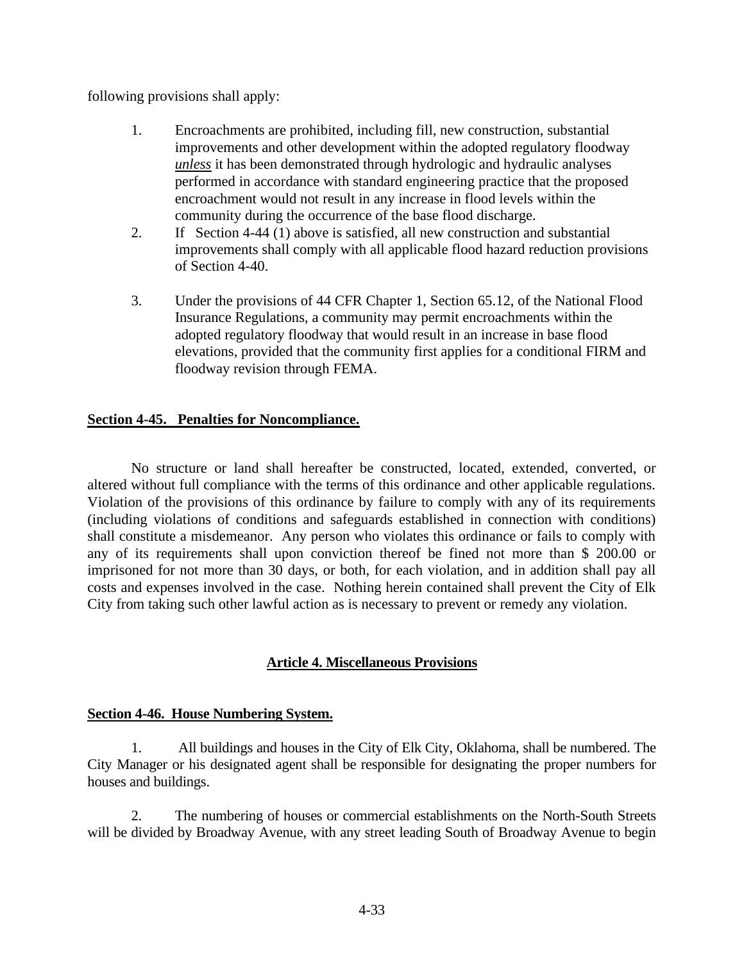following provisions shall apply:

- 1. Encroachments are prohibited, including fill, new construction, substantial improvements and other development within the adopted regulatory floodway *unless* it has been demonstrated through hydrologic and hydraulic analyses performed in accordance with standard engineering practice that the proposed encroachment would not result in any increase in flood levels within the community during the occurrence of the base flood discharge.
- 2. If Section 4-44 (1) above is satisfied, all new construction and substantial improvements shall comply with all applicable flood hazard reduction provisions of Section 4-40.
- 3. Under the provisions of 44 CFR Chapter 1, Section 65.12, of the National Flood Insurance Regulations, a community may permit encroachments within the adopted regulatory floodway that would result in an increase in base flood elevations, provided that the community first applies for a conditional FIRM and floodway revision through FEMA.

### **Section 4-45. Penalties for Noncompliance.**

No structure or land shall hereafter be constructed, located, extended, converted, or altered without full compliance with the terms of this ordinance and other applicable regulations. Violation of the provisions of this ordinance by failure to comply with any of its requirements (including violations of conditions and safeguards established in connection with conditions) shall constitute a misdemeanor. Any person who violates this ordinance or fails to comply with any of its requirements shall upon conviction thereof be fined not more than \$ 200.00 or imprisoned for not more than 30 days, or both, for each violation, and in addition shall pay all costs and expenses involved in the case. Nothing herein contained shall prevent the City of Elk City from taking such other lawful action as is necessary to prevent or remedy any violation.

### **Article 4. Miscellaneous Provisions**

### **Section 4-46. House Numbering System.**

1. All buildings and houses in the City of Elk City, Oklahoma, shall be numbered. The City Manager or his designated agent shall be responsible for designating the proper numbers for houses and buildings.

2. The numbering of houses or commercial establishments on the North-South Streets will be divided by Broadway Avenue, with any street leading South of Broadway Avenue to begin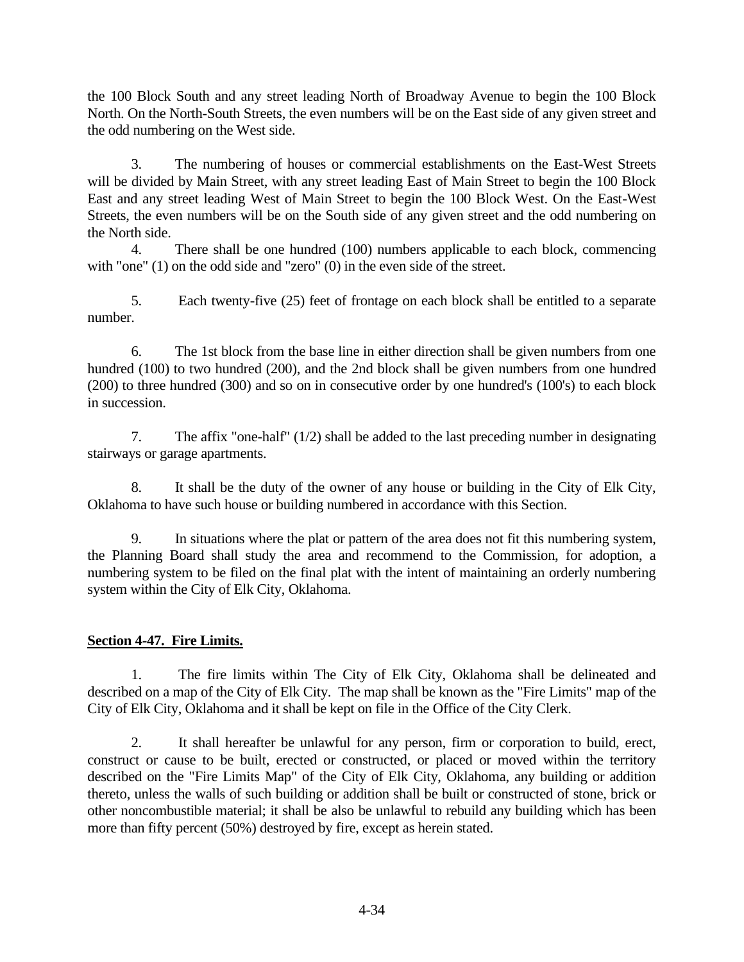the 100 Block South and any street leading North of Broadway Avenue to begin the 100 Block North. On the North-South Streets, the even numbers will be on the East side of any given street and the odd numbering on the West side.

3. The numbering of houses or commercial establishments on the East-West Streets will be divided by Main Street, with any street leading East of Main Street to begin the 100 Block East and any street leading West of Main Street to begin the 100 Block West. On the East-West Streets, the even numbers will be on the South side of any given street and the odd numbering on the North side.

4. There shall be one hundred (100) numbers applicable to each block, commencing with "one" (1) on the odd side and "zero" (0) in the even side of the street.

5. Each twenty-five (25) feet of frontage on each block shall be entitled to a separate number.

6. The 1st block from the base line in either direction shall be given numbers from one hundred (100) to two hundred (200), and the 2nd block shall be given numbers from one hundred (200) to three hundred (300) and so on in consecutive order by one hundred's (100's) to each block in succession.

7. The affix "one-half" (1/2) shall be added to the last preceding number in designating stairways or garage apartments.

8. It shall be the duty of the owner of any house or building in the City of Elk City, Oklahoma to have such house or building numbered in accordance with this Section.

9. In situations where the plat or pattern of the area does not fit this numbering system, the Planning Board shall study the area and recommend to the Commission, for adoption, a numbering system to be filed on the final plat with the intent of maintaining an orderly numbering system within the City of Elk City, Oklahoma.

# **Section 4-47. Fire Limits.**

1. The fire limits within The City of Elk City, Oklahoma shall be delineated and described on a map of the City of Elk City. The map shall be known as the "Fire Limits" map of the City of Elk City, Oklahoma and it shall be kept on file in the Office of the City Clerk.

2. It shall hereafter be unlawful for any person, firm or corporation to build, erect, construct or cause to be built, erected or constructed, or placed or moved within the territory described on the "Fire Limits Map" of the City of Elk City, Oklahoma, any building or addition thereto, unless the walls of such building or addition shall be built or constructed of stone, brick or other noncombustible material; it shall be also be unlawful to rebuild any building which has been more than fifty percent (50%) destroyed by fire, except as herein stated.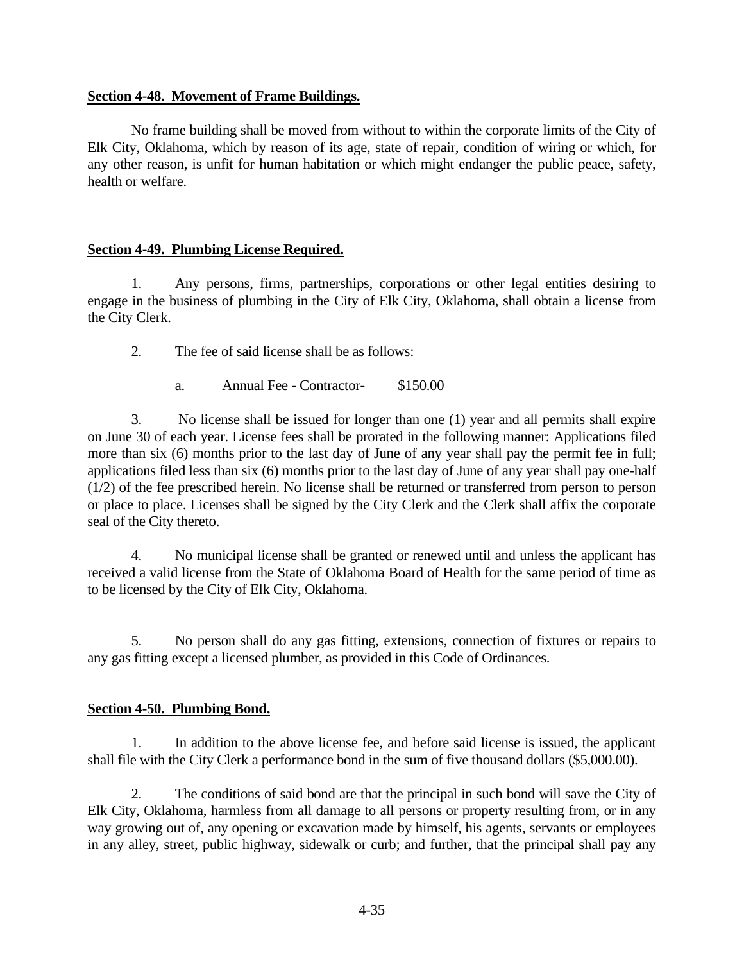#### **Section 4-48. Movement of Frame Buildings.**

No frame building shall be moved from without to within the corporate limits of the City of Elk City, Oklahoma, which by reason of its age, state of repair, condition of wiring or which, for any other reason, is unfit for human habitation or which might endanger the public peace, safety, health or welfare.

### **Section 4-49. Plumbing License Required.**

1. Any persons, firms, partnerships, corporations or other legal entities desiring to engage in the business of plumbing in the City of Elk City, Oklahoma, shall obtain a license from the City Clerk.

2. The fee of said license shall be as follows:

a. Annual Fee - Contractor- \$150.00

3. No license shall be issued for longer than one (1) year and all permits shall expire on June 30 of each year. License fees shall be prorated in the following manner: Applications filed more than six (6) months prior to the last day of June of any year shall pay the permit fee in full; applications filed less than six (6) months prior to the last day of June of any year shall pay one-half (1/2) of the fee prescribed herein. No license shall be returned or transferred from person to person or place to place. Licenses shall be signed by the City Clerk and the Clerk shall affix the corporate seal of the City thereto.

4. No municipal license shall be granted or renewed until and unless the applicant has received a valid license from the State of Oklahoma Board of Health for the same period of time as to be licensed by the City of Elk City, Oklahoma.

5. No person shall do any gas fitting, extensions, connection of fixtures or repairs to any gas fitting except a licensed plumber, as provided in this Code of Ordinances.

### **Section 4-50. Plumbing Bond.**

1. In addition to the above license fee, and before said license is issued, the applicant shall file with the City Clerk a performance bond in the sum of five thousand dollars (\$5,000.00).

2. The conditions of said bond are that the principal in such bond will save the City of Elk City, Oklahoma, harmless from all damage to all persons or property resulting from, or in any way growing out of, any opening or excavation made by himself, his agents, servants or employees in any alley, street, public highway, sidewalk or curb; and further, that the principal shall pay any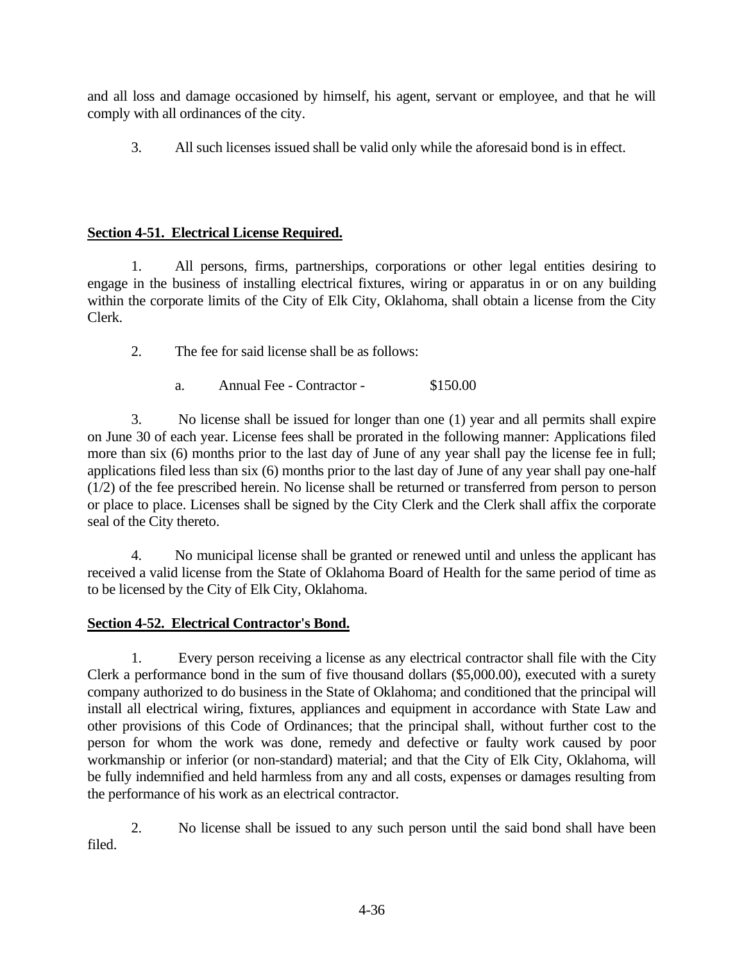and all loss and damage occasioned by himself, his agent, servant or employee, and that he will comply with all ordinances of the city.

3. All such licenses issued shall be valid only while the aforesaid bond is in effect.

# **Section 4-51. Electrical License Required.**

1. All persons, firms, partnerships, corporations or other legal entities desiring to engage in the business of installing electrical fixtures, wiring or apparatus in or on any building within the corporate limits of the City of Elk City, Oklahoma, shall obtain a license from the City Clerk.

2. The fee for said license shall be as follows:

a. Annual Fee - Contractor - \$150.00

3. No license shall be issued for longer than one (1) year and all permits shall expire on June 30 of each year. License fees shall be prorated in the following manner: Applications filed more than six (6) months prior to the last day of June of any year shall pay the license fee in full; applications filed less than six (6) months prior to the last day of June of any year shall pay one-half (1/2) of the fee prescribed herein. No license shall be returned or transferred from person to person or place to place. Licenses shall be signed by the City Clerk and the Clerk shall affix the corporate seal of the City thereto.

4. No municipal license shall be granted or renewed until and unless the applicant has received a valid license from the State of Oklahoma Board of Health for the same period of time as to be licensed by the City of Elk City, Oklahoma.

# **Section 4-52. Electrical Contractor's Bond.**

1. Every person receiving a license as any electrical contractor shall file with the City Clerk a performance bond in the sum of five thousand dollars (\$5,000.00), executed with a surety company authorized to do business in the State of Oklahoma; and conditioned that the principal will install all electrical wiring, fixtures, appliances and equipment in accordance with State Law and other provisions of this Code of Ordinances; that the principal shall, without further cost to the person for whom the work was done, remedy and defective or faulty work caused by poor workmanship or inferior (or non-standard) material; and that the City of Elk City, Oklahoma, will be fully indemnified and held harmless from any and all costs, expenses or damages resulting from the performance of his work as an electrical contractor.

2. No license shall be issued to any such person until the said bond shall have been filed.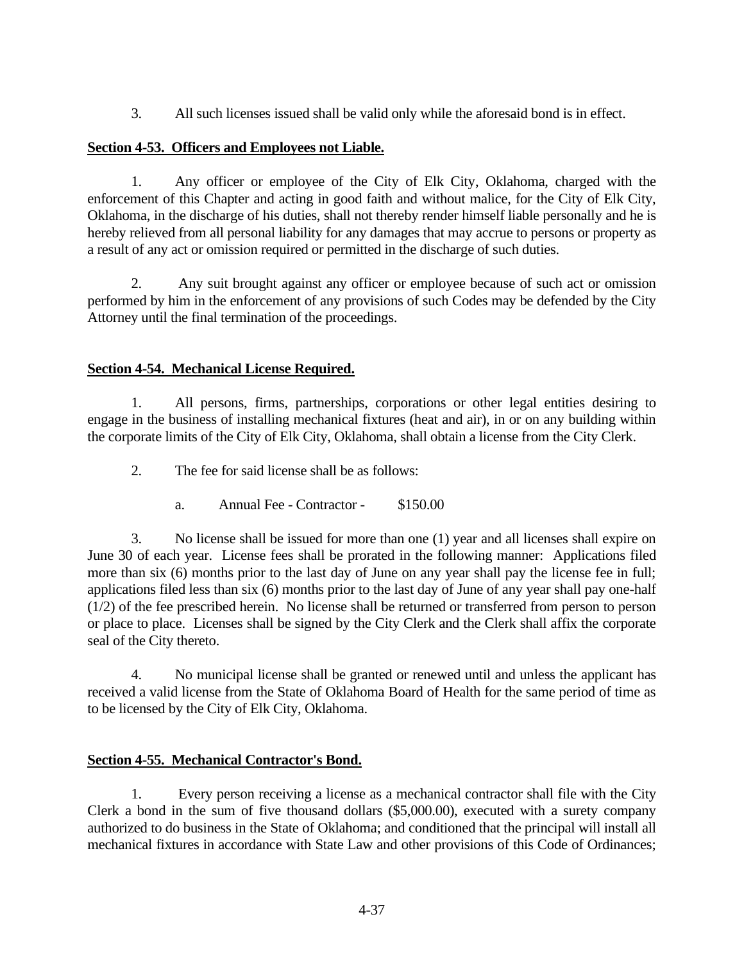3. All such licenses issued shall be valid only while the aforesaid bond is in effect.

### **Section 4-53. Officers and Employees not Liable.**

1. Any officer or employee of the City of Elk City, Oklahoma, charged with the enforcement of this Chapter and acting in good faith and without malice, for the City of Elk City, Oklahoma, in the discharge of his duties, shall not thereby render himself liable personally and he is hereby relieved from all personal liability for any damages that may accrue to persons or property as a result of any act or omission required or permitted in the discharge of such duties.

2. Any suit brought against any officer or employee because of such act or omission performed by him in the enforcement of any provisions of such Codes may be defended by the City Attorney until the final termination of the proceedings.

### **Section 4-54. Mechanical License Required.**

1. All persons, firms, partnerships, corporations or other legal entities desiring to engage in the business of installing mechanical fixtures (heat and air), in or on any building within the corporate limits of the City of Elk City, Oklahoma, shall obtain a license from the City Clerk.

2. The fee for said license shall be as follows:

a. Annual Fee - Contractor - \$150.00

3. No license shall be issued for more than one (1) year and all licenses shall expire on June 30 of each year. License fees shall be prorated in the following manner: Applications filed more than six (6) months prior to the last day of June on any year shall pay the license fee in full; applications filed less than six (6) months prior to the last day of June of any year shall pay one-half (1/2) of the fee prescribed herein. No license shall be returned or transferred from person to person or place to place. Licenses shall be signed by the City Clerk and the Clerk shall affix the corporate seal of the City thereto.

4. No municipal license shall be granted or renewed until and unless the applicant has received a valid license from the State of Oklahoma Board of Health for the same period of time as to be licensed by the City of Elk City, Oklahoma.

### **Section 4-55. Mechanical Contractor's Bond.**

1. Every person receiving a license as a mechanical contractor shall file with the City Clerk a bond in the sum of five thousand dollars (\$5,000.00), executed with a surety company authorized to do business in the State of Oklahoma; and conditioned that the principal will install all mechanical fixtures in accordance with State Law and other provisions of this Code of Ordinances;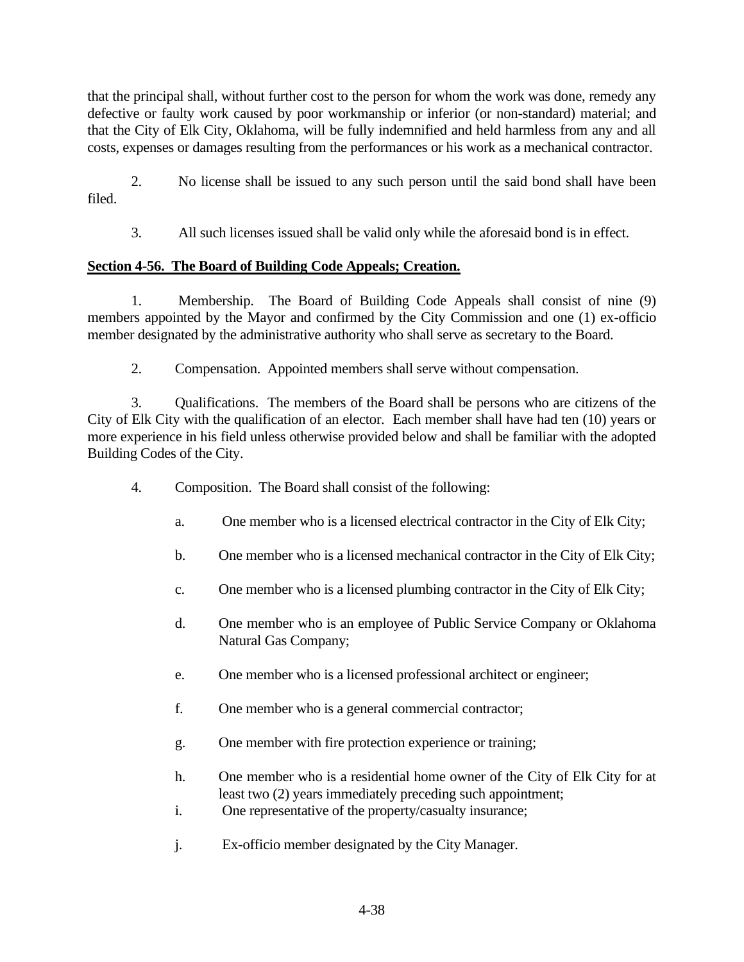that the principal shall, without further cost to the person for whom the work was done, remedy any defective or faulty work caused by poor workmanship or inferior (or non-standard) material; and that the City of Elk City, Oklahoma, will be fully indemnified and held harmless from any and all costs, expenses or damages resulting from the performances or his work as a mechanical contractor.

2. No license shall be issued to any such person until the said bond shall have been filed.

3. All such licenses issued shall be valid only while the aforesaid bond is in effect.

# **Section 4-56. The Board of Building Code Appeals; Creation.**

1. Membership. The Board of Building Code Appeals shall consist of nine (9) members appointed by the Mayor and confirmed by the City Commission and one (1) ex-officio member designated by the administrative authority who shall serve as secretary to the Board.

2. Compensation. Appointed members shall serve without compensation.

3. Qualifications. The members of the Board shall be persons who are citizens of the City of Elk City with the qualification of an elector. Each member shall have had ten (10) years or more experience in his field unless otherwise provided below and shall be familiar with the adopted Building Codes of the City.

- 4. Composition. The Board shall consist of the following:
	- a. One member who is a licensed electrical contractor in the City of Elk City;
	- b. One member who is a licensed mechanical contractor in the City of Elk City;
	- c. One member who is a licensed plumbing contractor in the City of Elk City;
	- d. One member who is an employee of Public Service Company or Oklahoma Natural Gas Company;
	- e. One member who is a licensed professional architect or engineer;
	- f. One member who is a general commercial contractor;
	- g. One member with fire protection experience or training;
	- h. One member who is a residential home owner of the City of Elk City for at least two (2) years immediately preceding such appointment;
	- i. One representative of the property/casualty insurance;
	- j. Ex-officio member designated by the City Manager.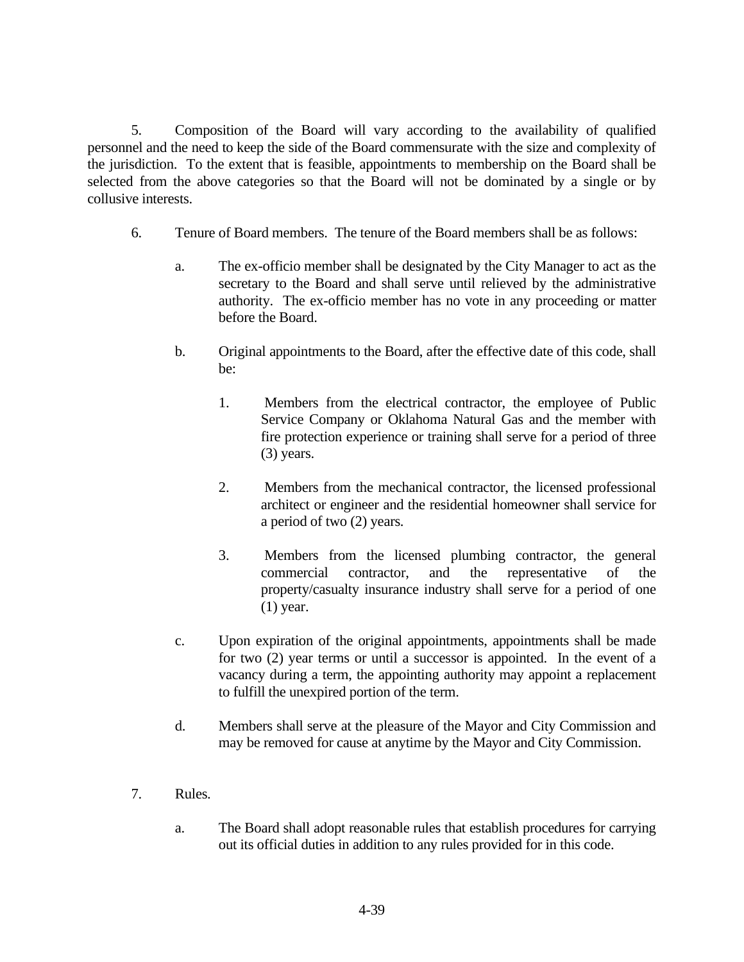5. Composition of the Board will vary according to the availability of qualified personnel and the need to keep the side of the Board commensurate with the size and complexity of the jurisdiction. To the extent that is feasible, appointments to membership on the Board shall be selected from the above categories so that the Board will not be dominated by a single or by collusive interests.

- 6. Tenure of Board members. The tenure of the Board members shall be as follows:
	- a. The ex-officio member shall be designated by the City Manager to act as the secretary to the Board and shall serve until relieved by the administrative authority. The ex-officio member has no vote in any proceeding or matter before the Board.
	- b. Original appointments to the Board, after the effective date of this code, shall be:
		- 1. Members from the electrical contractor, the employee of Public Service Company or Oklahoma Natural Gas and the member with fire protection experience or training shall serve for a period of three (3) years.
		- 2. Members from the mechanical contractor, the licensed professional architect or engineer and the residential homeowner shall service for a period of two (2) years.
		- 3. Members from the licensed plumbing contractor, the general commercial contractor, and the representative of the property/casualty insurance industry shall serve for a period of one (1) year.
	- c. Upon expiration of the original appointments, appointments shall be made for two (2) year terms or until a successor is appointed. In the event of a vacancy during a term, the appointing authority may appoint a replacement to fulfill the unexpired portion of the term.
	- d. Members shall serve at the pleasure of the Mayor and City Commission and may be removed for cause at anytime by the Mayor and City Commission.
- 7. Rules.
	- a. The Board shall adopt reasonable rules that establish procedures for carrying out its official duties in addition to any rules provided for in this code.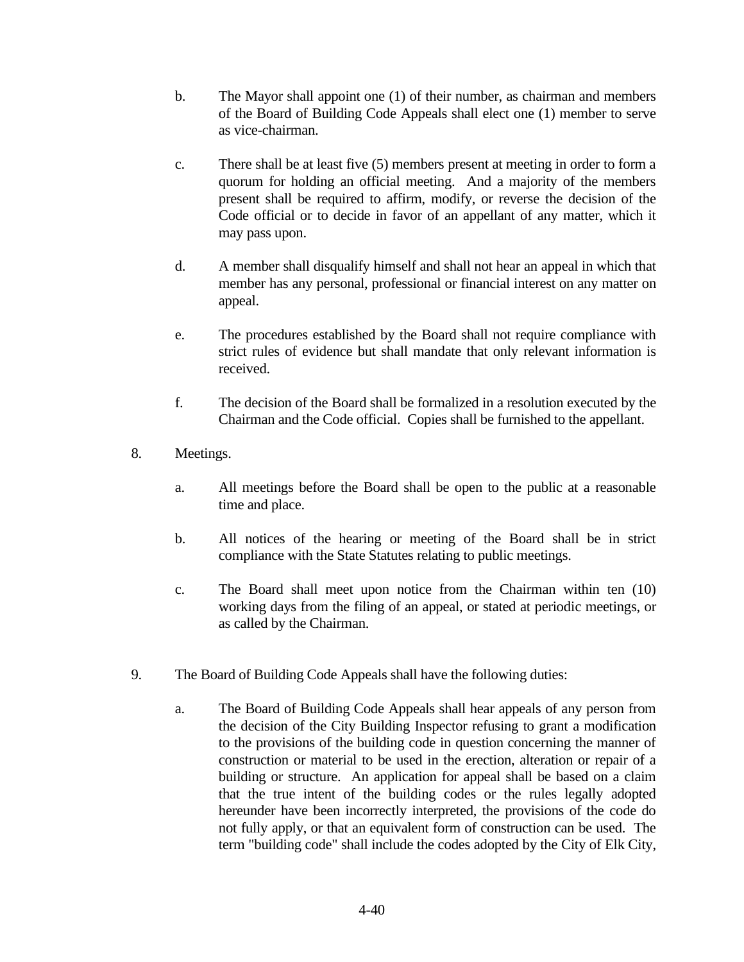- b. The Mayor shall appoint one (1) of their number, as chairman and members of the Board of Building Code Appeals shall elect one (1) member to serve as vice-chairman.
- c. There shall be at least five (5) members present at meeting in order to form a quorum for holding an official meeting. And a majority of the members present shall be required to affirm, modify, or reverse the decision of the Code official or to decide in favor of an appellant of any matter, which it may pass upon.
- d. A member shall disqualify himself and shall not hear an appeal in which that member has any personal, professional or financial interest on any matter on appeal.
- e. The procedures established by the Board shall not require compliance with strict rules of evidence but shall mandate that only relevant information is received.
- f. The decision of the Board shall be formalized in a resolution executed by the Chairman and the Code official. Copies shall be furnished to the appellant.
- 8. Meetings.
	- a. All meetings before the Board shall be open to the public at a reasonable time and place.
	- b. All notices of the hearing or meeting of the Board shall be in strict compliance with the State Statutes relating to public meetings.
	- c. The Board shall meet upon notice from the Chairman within ten (10) working days from the filing of an appeal, or stated at periodic meetings, or as called by the Chairman.
- 9. The Board of Building Code Appeals shall have the following duties:
	- a. The Board of Building Code Appeals shall hear appeals of any person from the decision of the City Building Inspector refusing to grant a modification to the provisions of the building code in question concerning the manner of construction or material to be used in the erection, alteration or repair of a building or structure. An application for appeal shall be based on a claim that the true intent of the building codes or the rules legally adopted hereunder have been incorrectly interpreted, the provisions of the code do not fully apply, or that an equivalent form of construction can be used. The term "building code" shall include the codes adopted by the City of Elk City,